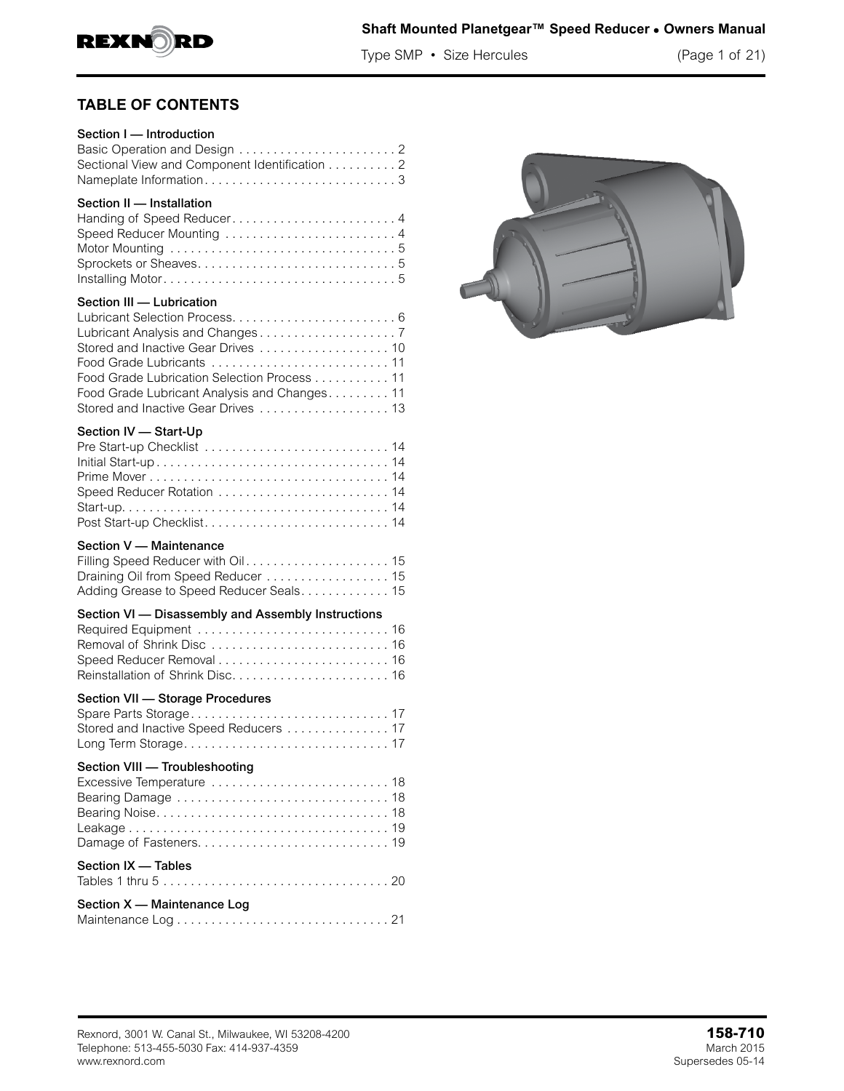

Type SMP • Size Hercules (Page 1 of 21)

## **TABLE OF CONTENTS**

| Section I - Introduction<br>Sectional View and Component Identification 2                                                                                                                                                         |
|-----------------------------------------------------------------------------------------------------------------------------------------------------------------------------------------------------------------------------------|
| Section II - Installation<br>Handing of Speed Reducer 4<br>Speed Reducer Mounting  4                                                                                                                                              |
| Section III - Lubrication<br>Stored and Inactive Gear Drives 10<br>Food Grade Lubricants  11<br>Food Grade Lubrication Selection Process 11<br>Food Grade Lubricant Analysis and Changes 11<br>Stored and Inactive Gear Drives 13 |
| Section IV - Start-Up<br>Speed Reducer Rotation  14                                                                                                                                                                               |
| Section V - Maintenance<br>Draining Oil from Speed Reducer 15<br>Adding Grease to Speed Reducer Seals. 15                                                                                                                         |
| Section VI - Disassembly and Assembly Instructions                                                                                                                                                                                |
| Section VII - Storage Procedures<br>Stored and Inactive Speed Reducers 17                                                                                                                                                         |
| Section VIII - Troubleshooting                                                                                                                                                                                                    |
| Section IX - Tables                                                                                                                                                                                                               |
| Section X - Maintenance Log                                                                                                                                                                                                       |

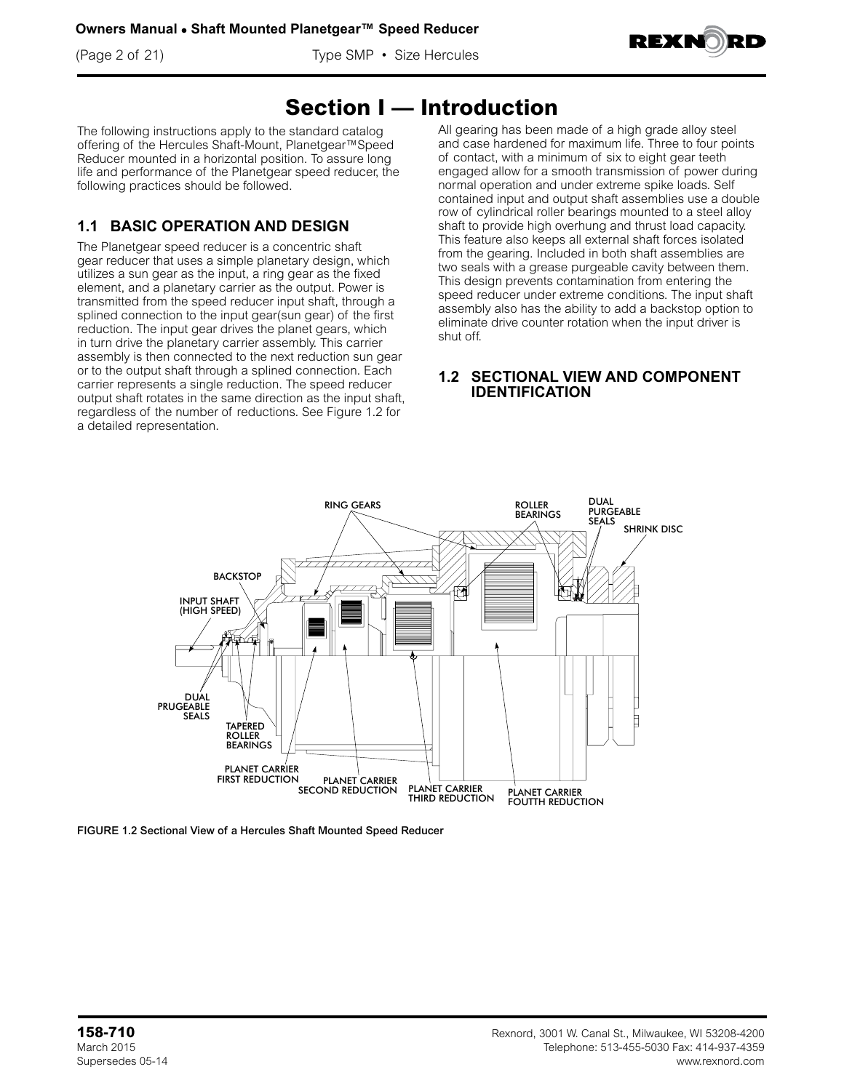(Page 2 of 21) Type SMP • Size Hercules



# **Section I — Introduction**

The following instructions apply to the standard catalog offering of the Hercules Shaft-Mount, Planetgear™Speed Reducer mounted in a horizontal position. To assure long life and performance of the Planetgear speed reducer, the following practices should be followed.

## **1.1 BASIC OPERATION AND DESIGN**

The Planetgear speed reducer is a concentric shaft gear reducer that uses a simple planetary design, which utilizes a sun gear as the input, a ring gear as the fixed element, and a planetary carrier as the output. Power is transmitted from the speed reducer input shaft, through a splined connection to the input gear(sun gear) of the first reduction. The input gear drives the planet gears, which in turn drive the planetary carrier assembly. This carrier assembly is then connected to the next reduction sun gear or to the output shaft through a splined connection. Each carrier represents a single reduction. The speed reducer output shaft rotates in the same direction as the input shaft, regardless of the number of reductions. See Figure 1.2 for a detailed representation.

All gearing has been made of a high grade alloy steel and case hardened for maximum life. Three to four points of contact, with a minimum of six to eight gear teeth engaged allow for a smooth transmission of power during normal operation and under extreme spike loads. Self contained input and output shaft assemblies use a double row of cylindrical roller bearings mounted to a steel alloy shaft to provide high overhung and thrust load capacity. This feature also keeps all external shaft forces isolated from the gearing. Included in both shaft assemblies are two seals with a grease purgeable cavity between them. This design prevents contamination from entering the speed reducer under extreme conditions. The input shaft assembly also has the ability to add a backstop option to eliminate drive counter rotation when the input driver is shut off.

#### **1.2 SECTIONAL VIEW AND COMPONENT IDENTIFICATION**



FIGURE 1.2 Sectional View of a Hercules Shaft Mounted Speed Reducer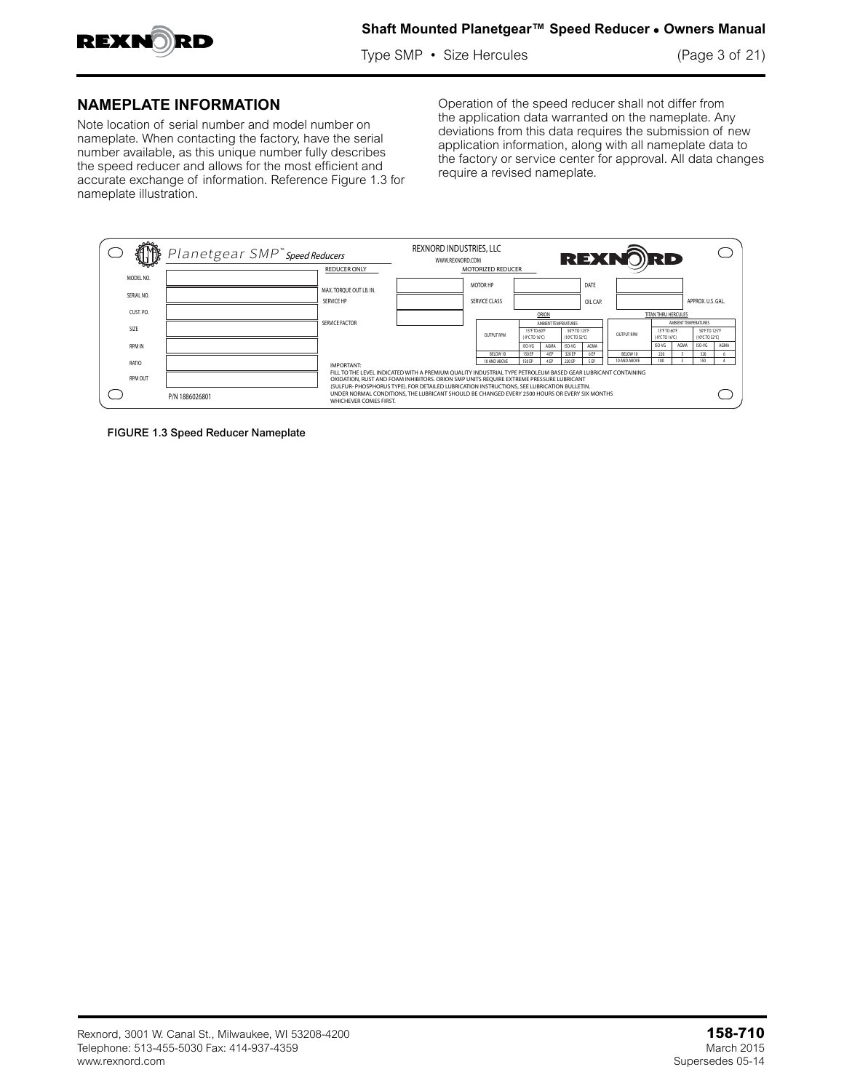

Type SMP • Size Hercules (Page 3 of 21)

#### **NAMEPLATE INFORMATION**

Note location of serial number and model number on nameplate. When contacting the factory, have the serial number available, as this unique number fully describes the speed reducer and allows for the most efficient and accurate exchange of information. Reference Figure 1.3 for nameplate illustration.

Operation of the speed reducer shall not differ from the application data warranted on the nameplate. Any deviations from this data requires the submission of new application information, along with all nameplate data to the factory or service center for approval. All data changes require a revised nameplate.



FIGURE 1.3 Speed Reducer Nameplate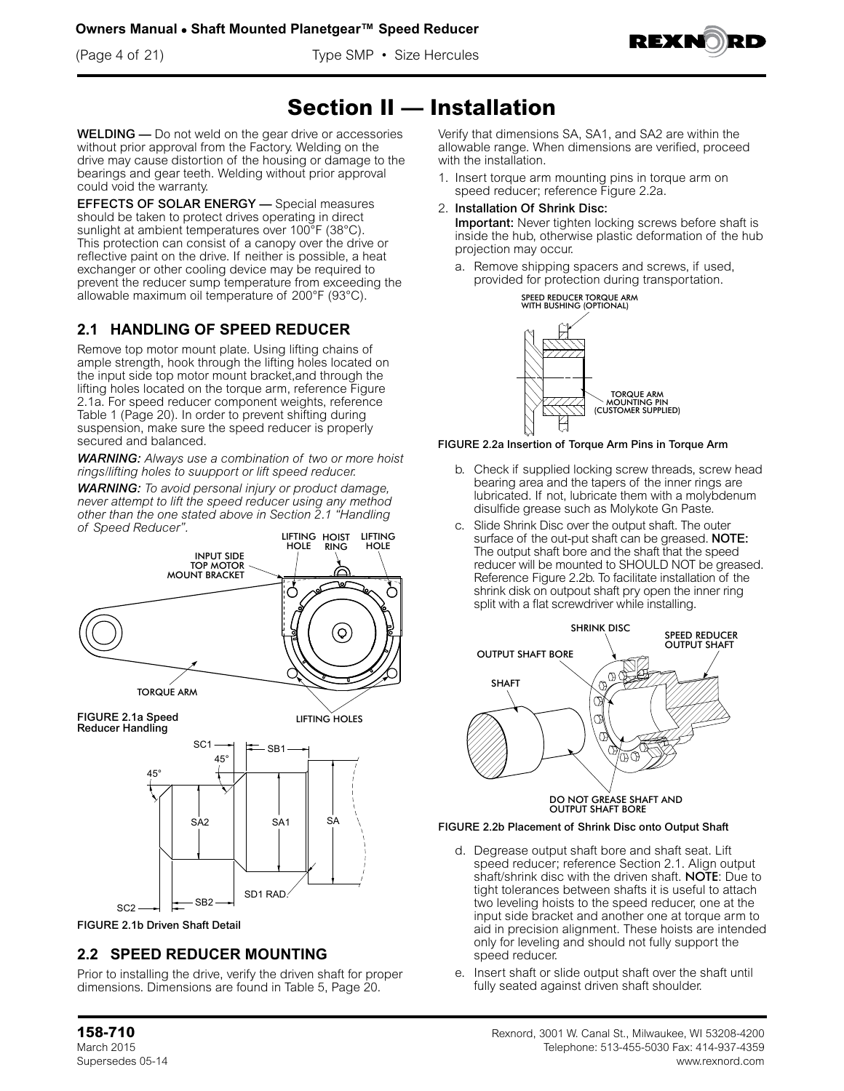(Page 4 of 21) Type SMP • Size Hercules



# **Section II — Installation**

WELDING — Do not weld on the gear drive or accessories without prior approval from the Factory. Welding on the drive may cause distortion of the housing or damage to the bearings and gear teeth. Welding without prior approval could void the warranty.

EFFECTS OF SOLAR ENERGY — Special measures should be taken to protect drives operating in direct sunlight at ambient temperatures over 100°F (38°C). This protection can consist of a canopy over the drive or reflective paint on the drive. If neither is possible, a heat exchanger or other cooling device may be required to prevent the reducer sump temperature from exceeding the allowable maximum oil temperature of 200°F (93°C).

### **2.1 HANDLING OF SPEED REDUCER**

Remove top motor mount plate. Using lifting chains of ample strength, hook through the lifting holes located on the input side top motor mount bracket,and through the lifting holes located on the torque arm, reference Figure 2.1a. For speed reducer component weights, reference Table 1 (Page 20). In order to prevent shifting during suspension, make sure the speed reducer is properly secured and balanced.

*WARNING: Always use a combination of two or more hoist rings/lifting holes to suupport or lift speed reducer.*

*WARNING: To avoid personal injury or product damage, never attempt to lift the speed reducer using any method other than the one stated above in Section 2.1 "Handling of Speed Reducer".*



FIGURE 2.1b Driven Shaft Detail

### **2.2 SPEED REDUCER MOUNTING**

Prior to installing the drive, verify the driven shaft for proper dimensions. Dimensions are found in Table 5, Page 20.

Verify that dimensions SA, SA1, and SA2 are within the allowable range. When dimensions are verified, proceed with the installation.

1. Insert torque arm mounting pins in torque arm on speed reducer; reference Figure 2.2a.

2. Installation Of Shrink Disc:

Important: Never tighten locking screws before shaft is inside the hub, otherwise plastic deformation of the hub projection may occur.

a. Remove shipping spacers and screws, if used, provided for protection during transportation.



#### FIGURE 2.2a Insertion of Torque Arm Pins in Torque Arm

- b. Check if supplied locking screw threads, screw head bearing area and the tapers of the inner rings are lubricated. If not, lubricate them with a molybdenum disulfide grease such as Molykote Gn Paste.
- c. Slide Shrink Disc over the output shaft. The outer surface of the out-put shaft can be greased. NOTE: The output shaft bore and the shaft that the speed reducer will be mounted to SHOULD NOT be greased. Reference Figure 2.2b. To facilitate installation of the shrink disk on outpout shaft pry open the inner ring split with a flat screwdriver while installing.



#### FIGURE 2.2b Placement of Shrink Disc onto Output Shaft

- d. Degrease output shaft bore and shaft seat. Lift speed reducer; reference Section 2.1. Align output shaft/shrink disc with the driven shaft. NOTE: Due to tight tolerances between shafts it is useful to attach two leveling hoists to the speed reducer, one at the input side bracket and another one at torque arm to aid in precision alignment. These hoists are intended only for leveling and should not fully support the speed reducer.
- e. Insert shaft or slide output shaft over the shaft until fully seated against driven shaft shoulder.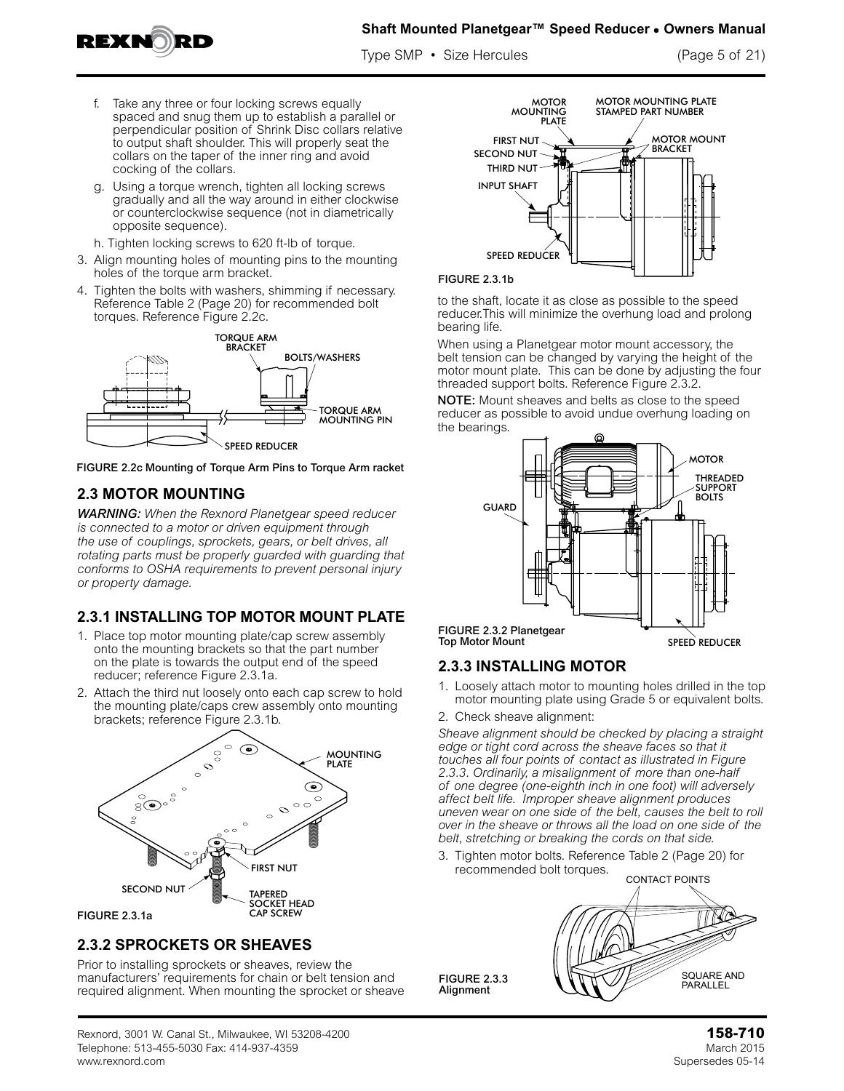

Type SMP • Size Hercules (Page 5 of 21)

- f. Take any three or four locking screws equally spaced and snug them up to establish a parallel or perpendicular position of Shrink Disc collars relative to output shaft shoulder. This will properly seat the collars on the taper of the inner ring and avoid cocking of the collars.
- g. Using a torque wrench, tighten all locking screws gradually and all the way around in either clockwise or counterclockwise sequence (not in diametrically opposite sequence).
- h. Tighten locking screws to 620 ft-lb of torque.
- 3. Align mounting holes of mounting pins to the mounting holes of the torque arm bracket.
- 4. Tighten the bolts with washers, shimming if necessary. Reference Table 2 (Page 20) for recommended bolt torques. Reference Figure 2.2c.



FIGURE 2.2c Mounting of Torque Arm Pins to Torque Arm racket

## **2.3 MOTOR MOUNTING**

REXNORD

*WARNING: When the Rexnord Planetgear speed reducer is connected to a motor or driven equipment through the use of couplings, sprockets, gears, or belt drives, all rotating parts must be properly guarded with guarding that conforms to OSHA requirements to prevent personal injury or property damage.*

# **2.3.1 INSTALLING TOP MOTOR MOUNT PLATE**

- 1. Place top motor mounting plate/cap screw assembly onto the mounting brackets so that the part number on the plate is towards the output end of the speed reducer; reference Figure 2.3.1a.
- 2. Attach the third nut loosely onto each cap screw to hold the mounting plate/caps crew assembly onto mounting brackets; reference Figure 2.3.1b.



# **2.3.2 SPROCKETS OR SHEAVES**

Prior to installing sprockets or sheaves, review the manufacturers' requirements for chain or belt tension and required alignment. When mounting the sprocket or sheave



FIGURE 2.3.1b

to the shaft, locate it as close as possible to the speed reducer.This will minimize the overhung load and prolong bearing life.

When using a Planetgear motor mount accessory, the belt tension can be changed by varying the height of the motor mount plate. This can be done by adjusting the four threaded support bolts. Reference Figure 2.3.2.

NOTE: Mount sheaves and belts as close to the speed reducer as possible to avoid undue overhung loading on the bearings.



# **2.3.3 INSTALLING MOTOR**

- 1. Loosely attach motor to mounting holes drilled in the top motor mounting plate using Grade 5 or equivalent bolts.
- 2. Check sheave alignment:

*Sheave alignment should be checked by placing a straight edge or tight cord across the sheave faces so that it touches all four points of contact as illustrated in Figure 2.3.3. Ordinarily, a misalignment of more than one-half of one degree (one-eighth inch in one foot) will adversely affect belt life. Improper sheave alignment produces uneven wear on one side of the belt, causes the belt to roll over in the sheave or throws all the load on one side of the belt, stretching or breaking the cords on that side.*

3. Tighten motor bolts. Reference Table 2 (Page 20) for recommended bolt torques.



FIGURE 2.3.3 Alignment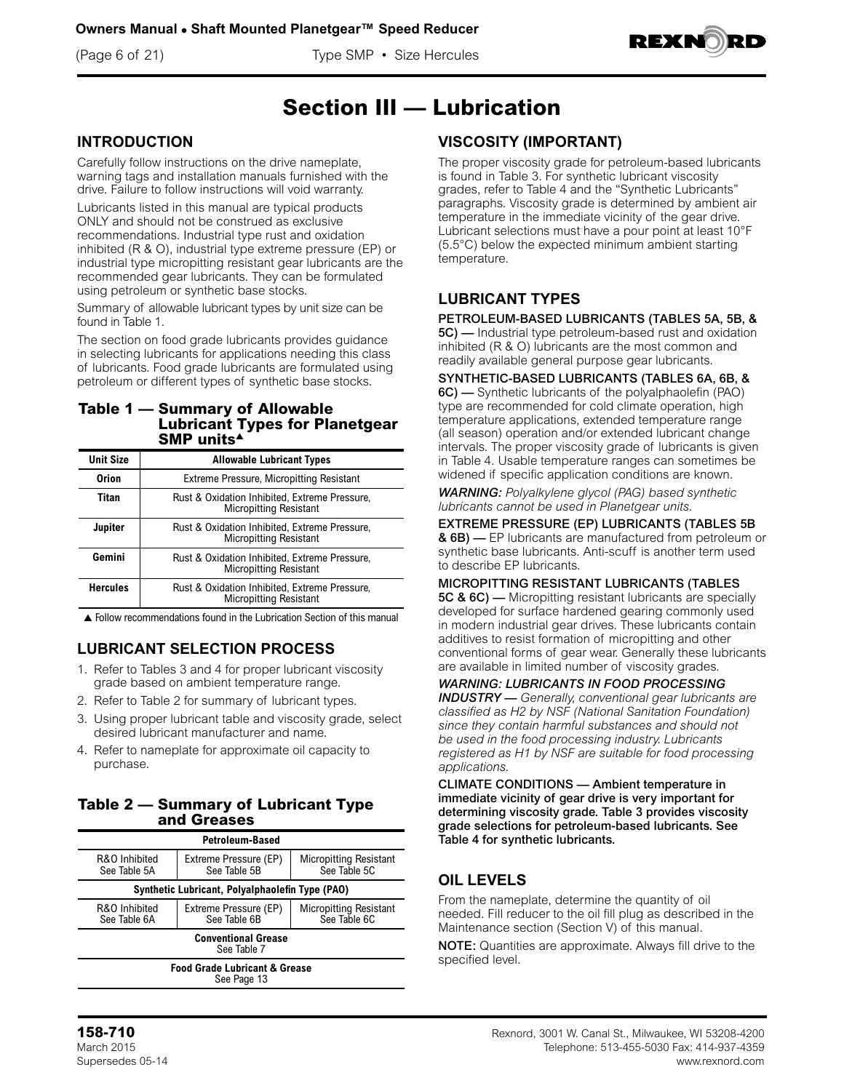(Page 6 of 21) Type SMP • Size Hercules



# **Section III — Lubrication**

#### **INTRODUCTION**

Carefully follow instructions on the drive nameplate, warning tags and installation manuals furnished with the drive. Failure to follow instructions will void warranty.

Lubricants listed in this manual are typical products ONLY and should not be construed as exclusive recommendations. Industrial type rust and oxidation inhibited (R & O), industrial type extreme pressure (EP) or industrial type micropitting resistant gear lubricants are the recommended gear lubricants. They can be formulated using petroleum or synthetic base stocks.

Summary of allowable lubricant types by unit size can be found in Table 1.

The section on food grade lubricants provides guidance in selecting lubricants for applications needing this class of lubricants. Food grade lubricants are formulated using petroleum or different types of synthetic base stocks.

#### **Table 1 — Summary of Allowable Lubricant Types for Planetgear SMP** units<sup>4</sup>

| <b>Unit Size</b> | <b>Allowable Lubricant Types</b>                                               |  |  |  |
|------------------|--------------------------------------------------------------------------------|--|--|--|
| Orion            | Extreme Pressure, Micropitting Resistant                                       |  |  |  |
| Titan            | Rust & Oxidation Inhibited, Extreme Pressure,<br><b>Micropitting Resistant</b> |  |  |  |
| Jupiter          | Rust & Oxidation Inhibited, Extreme Pressure,<br><b>Micropitting Resistant</b> |  |  |  |
| Gemini           | Rust & Oxidation Inhibited, Extreme Pressure,<br>Micropitting Resistant        |  |  |  |
| <b>Hercules</b>  | Rust & Oxidation Inhibited, Extreme Pressure,<br><b>Micropitting Resistant</b> |  |  |  |

 $\triangle$  Follow recommendations found in the Lubrication Section of this manual

## **LUBRICANT SELECTION PROCESS**

- 1. Refer to Tables 3 and 4 for proper lubricant viscosity grade based on ambient temperature range.
- 2. Refer to Table 2 for summary of lubricant types.
- 3. Using proper lubricant table and viscosity grade, select desired lubricant manufacturer and name.
- 4. Refer to nameplate for approximate oil capacity to purchase.

#### **Table 2 — Summary of Lubricant Type and Greases**

| <b>Petroleum-Based</b>                                                                                                  |                                                 |  |  |  |  |
|-------------------------------------------------------------------------------------------------------------------------|-------------------------------------------------|--|--|--|--|
| R&O Inhibited<br>See Table 5A                                                                                           | <b>Micropitting Resistant</b><br>See Table 5C   |  |  |  |  |
|                                                                                                                         | Synthetic Lubricant, Polyalphaolefin Type (PAO) |  |  |  |  |
| R&O Inhibited<br><b>Micropitting Resistant</b><br>Extreme Pressure (EP)<br>See Table 6C<br>See Table 6B<br>See Table 6A |                                                 |  |  |  |  |
| <b>Conventional Grease</b><br>See Table 7                                                                               |                                                 |  |  |  |  |
| <b>Food Grade Lubricant &amp; Grease</b><br>See Page 13                                                                 |                                                 |  |  |  |  |

## **VISCOSITY (IMPORTANT)**

The proper viscosity grade for petroleum-based lubricants is found in Table 3. For synthetic lubricant viscosity grades, refer to Table 4 and the "Synthetic Lubricants" paragraphs. Viscosity grade is determined by ambient air temperature in the immediate vicinity of the gear drive. Lubricant selections must have a pour point at least 10°F (5.5°C) below the expected minimum ambient starting temperature.

### **LUBRICANT TYPES**

PETROLEUM-BASED LUBRICANTS (TABLES 5A, 5B, & 5C) — Industrial type petroleum-based rust and oxidation inhibited (R & O) lubricants are the most common and readily available general purpose gear lubricants.

SYNTHETIC-BASED LUBRICANTS (TABLES 6A, 6B, & 6C) — Synthetic lubricants of the polyalphaolefin (PAO) type are recommended for cold climate operation, high temperature applications, extended temperature range (all season) operation and/or extended lubricant change intervals. The proper viscosity grade of lubricants is given in Table 4. Usable temperature ranges can sometimes be widened if specific application conditions are known.

*WARNING: Polyalkylene glycol (PAG) based synthetic lubricants cannot be used in Planetgear units.*

EXTREME PRESSURE (EP) LUBRICANTS (TABLES 5B & 6B) — EP lubricants are manufactured from petroleum or synthetic base lubricants. Anti-scuff is another term used to describe EP lubricants.

MICROPITTING RESISTANT LUBRICANTS (TABLES 5C & 6C) — Micropitting resistant lubricants are specially

developed for surface hardened gearing commonly used in modern industrial gear drives. These lubricants contain additives to resist formation of micropitting and other conventional forms of gear wear. Generally these lubricants are available in limited number of viscosity grades.

#### *WARNING: LUBRICANTS IN FOOD PROCESSING*

*INDUSTRY — Generally, conventional gear lubricants are classified as H2 by NSF (National Sanitation Foundation) since they contain harmful substances and should not be used in the food processing industry. Lubricants registered as H1 by NSF are suitable for food processing applications.*

CLIMATE CONDITIONS — Ambient temperature in immediate vicinity of gear drive is very important for determining viscosity grade. Table 3 provides viscosity grade selections for petroleum-based lubricants. See Table 4 for synthetic lubricants.

### **OIL LEVELS**

From the nameplate, determine the quantity of oil needed. Fill reducer to the oil fill plug as described in the Maintenance section (Section V) of this manual.

NOTE: Quantities are approximate. Always fill drive to the specified level.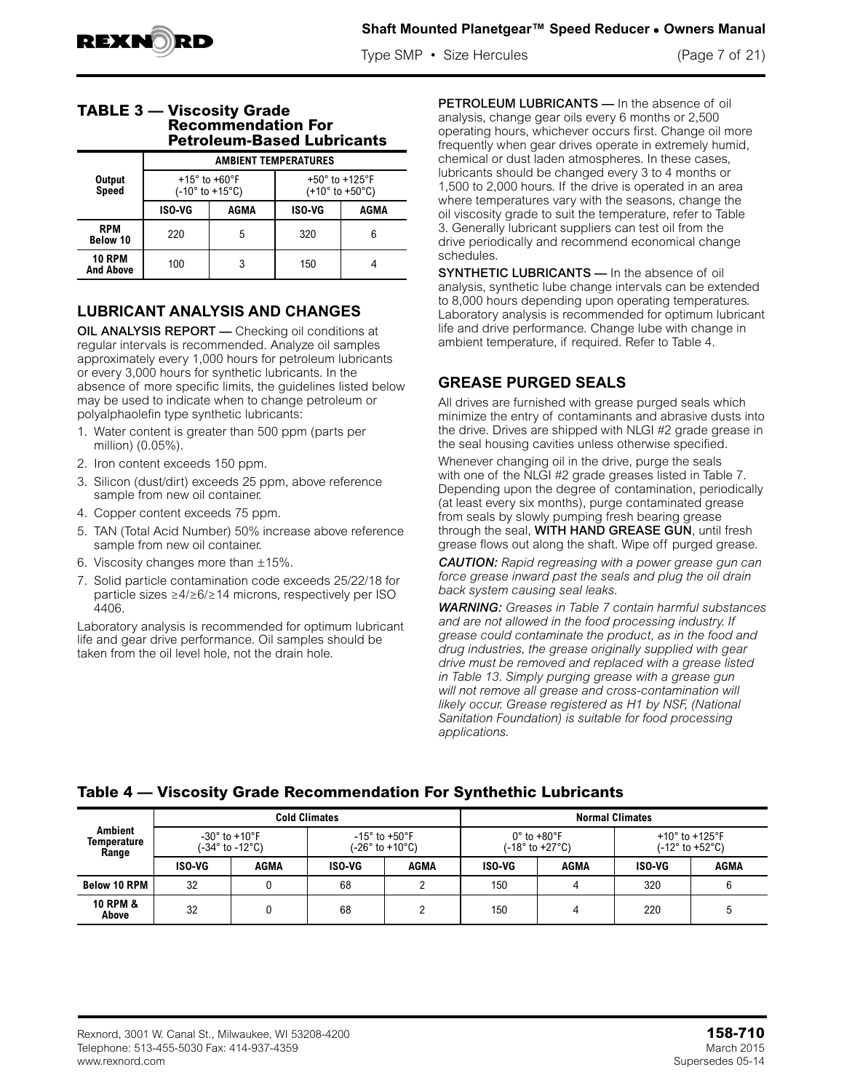Type SMP • Size Hercules (Page 7 of 21)

#### **TABLE 3 — Viscosity Grade Recommendation For Petroleum-Based Lubricants**

|                                   | <b>AMBIENT TEMPERATURES</b>  |                                    |                                                                           |      |  |  |
|-----------------------------------|------------------------------|------------------------------------|---------------------------------------------------------------------------|------|--|--|
| <b>Output</b><br>Speed            | $+15^\circ$ to $+60^\circ$ F | $(-10^{\circ}$ to $+15^{\circ}$ C) | +50 $^{\circ}$ to +125 $^{\circ}$ F<br>$(+10^{\circ}$ to $+50^{\circ}$ C) |      |  |  |
|                                   | ISO-VG                       | AGMA                               | <b>ISO-VG</b>                                                             | AGMA |  |  |
| <b>RPM</b><br>Below 10            | 220                          | 5                                  | 320                                                                       | 6    |  |  |
| <b>10 RPM</b><br><b>And Above</b> | 100                          | 3                                  | 150                                                                       |      |  |  |

## **LUBRICANT ANALYSIS AND CHANGES**

OIL ANALYSIS REPORT — Checking oil conditions at regular intervals is recommended. Analyze oil samples approximately every 1,000 hours for petroleum lubricants or every 3,000 hours for synthetic lubricants. In the absence of more specific limits, the guidelines listed below may be used to indicate when to change petroleum or polyalphaolefin type synthetic lubricants:

- 1. Water content is greater than 500 ppm (parts per million) (0.05%).
- 2. Iron content exceeds 150 ppm.
- 3. Silicon (dust/dirt) exceeds 25 ppm, above reference sample from new oil container.
- 4. Copper content exceeds 75 ppm.
- 5. TAN (Total Acid Number) 50% increase above reference sample from new oil container.
- 6. Viscosity changes more than  $\pm 15\%$ .
- 7. Solid particle contamination code exceeds 25/22/18 for particle sizes ≥4/≥6/≥14 microns, respectively per ISO 4406.

Laboratory analysis is recommended for optimum lubricant life and gear drive performance. Oil samples should be taken from the oil level hole, not the drain hole.

PETROLEUM LUBRICANTS - In the absence of oil analysis, change gear oils every 6 months or 2,500 operating hours, whichever occurs first. Change oil more frequently when gear drives operate in extremely humid, chemical or dust laden atmospheres. In these cases, lubricants should be changed every 3 to 4 months or 1,500 to 2,000 hours. If the drive is operated in an area where temperatures vary with the seasons, change the oil viscosity grade to suit the temperature, refer to Table 3. Generally lubricant suppliers can test oil from the drive periodically and recommend economical change schedules.

**SYNTHETIC LUBRICANTS** — In the absence of oil analysis, synthetic lube change intervals can be extended to 8,000 hours depending upon operating temperatures. Laboratory analysis is recommended for optimum lubricant life and drive performance. Change lube with change in ambient temperature, if required. Refer to Table 4.

# **GREASE PURGED SEALS**

All drives are furnished with grease purged seals which minimize the entry of contaminants and abrasive dusts into the drive. Drives are shipped with NLGI #2 grade grease in the seal housing cavities unless otherwise specified.

Whenever changing oil in the drive, purge the seals with one of the NLGI #2 grade greases listed in Table 7. Depending upon the degree of contamination, periodically (at least every six months), purge contaminated grease from seals by slowly pumping fresh bearing grease through the seal, WITH HAND GREASE GUN, until fresh grease flows out along the shaft. Wipe off purged grease.

*CAUTION: Rapid regreasing with a power grease gun can force grease inward past the seals and plug the oil drain back system causing seal leaks.*

*WARNING: Greases in Table 7 contain harmful substances and are not allowed in the food processing industry. If grease could contaminate the product, as in the food and drug industries, the grease originally supplied with gear drive must be removed and replaced with a grease listed in Table 13. Simply purging grease with a grease gun will not remove all grease and cross-contamination will likely occur. Grease registered as H1 by NSF, (National Sanitation Foundation) is suitable for food processing applications.*

### **Table 4 — Viscosity Grade Recommendation For Synthethic Lubricants**

|                                               | <b>Cold Climates</b> |                                                       |                                                 |      | <b>Normal Climates</b>                         |      |                                                                            |      |
|-----------------------------------------------|----------------------|-------------------------------------------------------|-------------------------------------------------|------|------------------------------------------------|------|----------------------------------------------------------------------------|------|
| <b>Ambient</b><br><b>Temperature</b><br>Range |                      | -30 $^{\circ}$ to +10 $^{\circ}$ F<br>(-34° to -12°C) | $-15^\circ$ to $+50^\circ$ F<br>(-26° to +10°C) |      | $0^\circ$ to +80 $^\circ$ F<br>(-18° to +27°C) |      | +10 $^{\circ}$ to +125 $^{\circ}$ F<br>$(-12^{\circ}$ to +52 $^{\circ}$ C) |      |
|                                               | <b>ISO-VG</b>        | AGMA                                                  | ISO-VG                                          | AGMA | ISO-VG                                         | AGMA | ISO-VG                                                                     | AGMA |
| <b>Below 10 RPM</b>                           | 32                   |                                                       | 68                                              |      | 150                                            |      | 320                                                                        |      |
| <b>10 RPM &amp;</b><br>Above                  | 32                   |                                                       | 68                                              |      | 150                                            | 4    | 220                                                                        |      |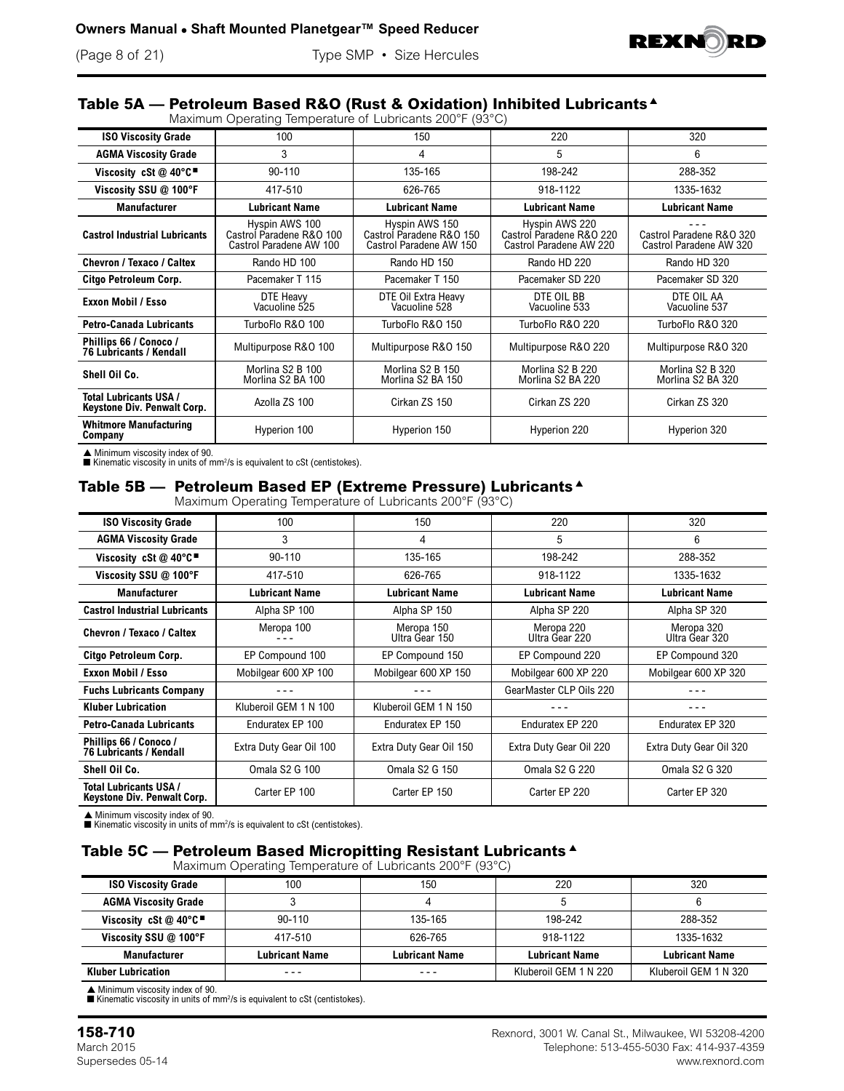





## **Table 5A — Petroleum Based R&O (Rust & Oxidation) Inhibited Lubricants** <sup>s</sup>

Maximum Operating Temperature of Lubricants 200°F (93°C)

| <b>ISO Viscosity Grade</b>                                   | 100                                                                   | 150                                                                   | 220                                                                   | 320                                                 |
|--------------------------------------------------------------|-----------------------------------------------------------------------|-----------------------------------------------------------------------|-----------------------------------------------------------------------|-----------------------------------------------------|
| <b>AGMA Viscosity Grade</b>                                  | 3                                                                     | 4                                                                     | 5                                                                     | 6                                                   |
| Viscosity cSt @ 40°C"                                        | 90-110                                                                | 135-165                                                               | 198-242                                                               | 288-352                                             |
| Viscosity SSU @ 100°F                                        | 417-510                                                               | 626-765                                                               | 918-1122                                                              | 1335-1632                                           |
| <b>Manufacturer</b>                                          | <b>Lubricant Name</b>                                                 | <b>Lubricant Name</b>                                                 | <b>Lubricant Name</b>                                                 | <b>Lubricant Name</b>                               |
| <b>Castrol Industrial Lubricants</b>                         | Hyspin AWS 100<br>Castrol Paradene R&O 100<br>Castrol Paradene AW 100 | Hyspin AWS 150<br>Castrol Paradene R&O 150<br>Castrol Paradene AW 150 | Hyspin AWS 220<br>Castrol Paradene R&O 220<br>Castrol Paradene AW 220 | Castrol Paradene R&O 320<br>Castrol Paradene AW 320 |
| Chevron / Texaco / Caltex                                    | Rando HD 100<br>Rando HD 150                                          |                                                                       | Rando HD 220                                                          | Rando HD 320                                        |
| Citgo Petroleum Corp.                                        | Pacemaker T 115                                                       |                                                                       | Pacemaker SD 220                                                      | Pacemaker SD 320                                    |
| Exxon Mobil / Esso                                           | DTE Heavy<br>Vacuoline 525                                            |                                                                       | DTE OIL BB<br>Vacuoline 533                                           | DTE OIL AA<br>Vacuoline 537                         |
| <b>Petro-Canada Lubricants</b>                               | TurboFlo R&O 100                                                      | TurboFlo R&O 150                                                      | TurboFlo R&O 220                                                      | TurboFlo R&O 320                                    |
| Phillips 66 / Conoco /<br><b>76 Lubricants / Kendall</b>     | Multipurpose R&O 100                                                  | Multipurpose R&O 150                                                  | Multipurpose R&O 220                                                  | Multipurpose R&O 320                                |
| Shell Oil Co.                                                | Morlina S2 B 100<br>Morlina S2 BA 100                                 | Morlina S2 B 150<br>Morlina S2 BA 150                                 | Morlina S2 B 220<br>Morlina S2 BA 220                                 | Morlina S2 B 320<br>Morlina S2 BA 320               |
| <b>Total Lubricants USA /</b><br>Keystone Div. Penwalt Corp. | Azolla ZS 100                                                         | Cirkan ZS 150                                                         | Cirkan ZS 220                                                         | Cirkan ZS 320                                       |
| <b>Whitmore Manufacturing</b><br>Company                     | Hyperion 100                                                          | Hyperion 150                                                          | Hyperion 220                                                          | Hyperion 320                                        |

▲ Minimum viscosity index of 90.<br>■ Kinematic viscosity in units of mm<sup>2</sup>/s is equivalent to cSt (centistokes).

## Table 5B - Petroleum Based EP (Extreme Pressure) Lubricants<sup>4</sup>

Maximum Operating Temperature of Lubricants 200°F (93°C)

| <b>ISO Viscosity Grade</b>                                   | 100                        | 150                          | 220                          | 320                          |
|--------------------------------------------------------------|----------------------------|------------------------------|------------------------------|------------------------------|
| <b>AGMA Viscosity Grade</b>                                  | 3                          | 4                            | 5                            | 6                            |
| Viscosity cSt @ 40 $^{\circ}$ C =                            | $90 - 110$                 | 135-165                      | 198-242                      | 288-352                      |
| Viscosity SSU @ 100°F                                        | 417-510                    | 626-765                      | 918-1122                     | 1335-1632                    |
| <b>Manufacturer</b>                                          | <b>Lubricant Name</b>      | <b>Lubricant Name</b>        | <b>Lubricant Name</b>        | <b>Lubricant Name</b>        |
| <b>Castrol Industrial Lubricants</b>                         | Alpha SP 100               | Alpha SP 150                 | Alpha SP 220                 | Alpha SP 320                 |
| Chevron / Texaco / Caltex                                    | Meropa 100                 | Meropa 150<br>Ultra Gear 150 | Meropa 220<br>Ultra Gear 220 | Meropa 320<br>Ultra Gear 320 |
| Citgo Petroleum Corp.                                        | EP Compound 100            | EP Compound 150              | EP Compound 220              | EP Compound 320              |
| Exxon Mobil / Esso                                           | Mobilgear 600 XP 100       | Mobilgear 600 XP 150         | Mobilgear 600 XP 220         | Mobilgear 600 XP 320         |
| <b>Fuchs Lubricants Company</b>                              |                            |                              | GearMaster CLP Oils 220      |                              |
| <b>Kluber Lubrication</b>                                    | Kluberoil GEM 1 N 100      | Kluberoil GEM 1 N 150        | - - -                        | ---                          |
| <b>Petro-Canada Lubricants</b>                               | Enduratex EP 100           | Enduratex EP 150             | Enduratex EP 220             | Enduratex EP 320             |
| Phillips 66 / Conoco /<br><b>76 Lubricants / Kendall</b>     | Extra Duty Gear Oil 100    | Extra Duty Gear Oil 150      | Extra Duty Gear Oil 220      | Extra Duty Gear Oil 320      |
| Shell Oil Co.                                                | Omala S <sub>2</sub> G 100 | Omala S <sub>2</sub> G 150   | Omala S2 G 220               | Omala S <sub>2</sub> G 320   |
| <b>Total Lubricants USA /</b><br>Keystone Div. Penwalt Corp. | Carter EP 100              | Carter EP 150                | Carter EP 220                | Carter EP 320                |

▲ Minimum viscosity index of 90.<br>■ Kinematic viscosity in units of mm<sup>2</sup>/s is equivalent to cSt (centistokes).

## Table 5C - Petroleum Based Micropitting Resistant Lubricants  $\triangle$

Maximum Operating Temperature of Lubricants 200°F (93°C)

|                                                                | $\overline{\phantom{0}}$ |                       |                       |                       |
|----------------------------------------------------------------|--------------------------|-----------------------|-----------------------|-----------------------|
| <b>ISO Viscosity Grade</b>                                     | 100                      | 150                   | 220                   | 320                   |
| <b>AGMA Viscosity Grade</b>                                    |                          |                       |                       |                       |
| Viscosity cSt $@$ 40 $°C$ <sup><math>\blacksquare</math></sup> | 90-110                   | 135-165               | 198-242               | 288-352               |
| Viscosity SSU @ 100°F                                          | 417-510                  | 626-765               | 918-1122              | 1335-1632             |
| <b>Manufacturer</b>                                            | <b>Lubricant Name</b>    | <b>Lubricant Name</b> | <b>Lubricant Name</b> | <b>Lubricant Name</b> |
| <b>Kluber Lubrication</b>                                      | ---                      | $- - -$               | Kluberoil GEM 1 N 220 | Kluberoil GEM 1 N 320 |

 $\triangle$  Minimum viscosity index of 90.

 $\blacksquare$  Kinematic viscosity in units of mm<sup>2</sup>/s is equivalent to cSt (centistokes).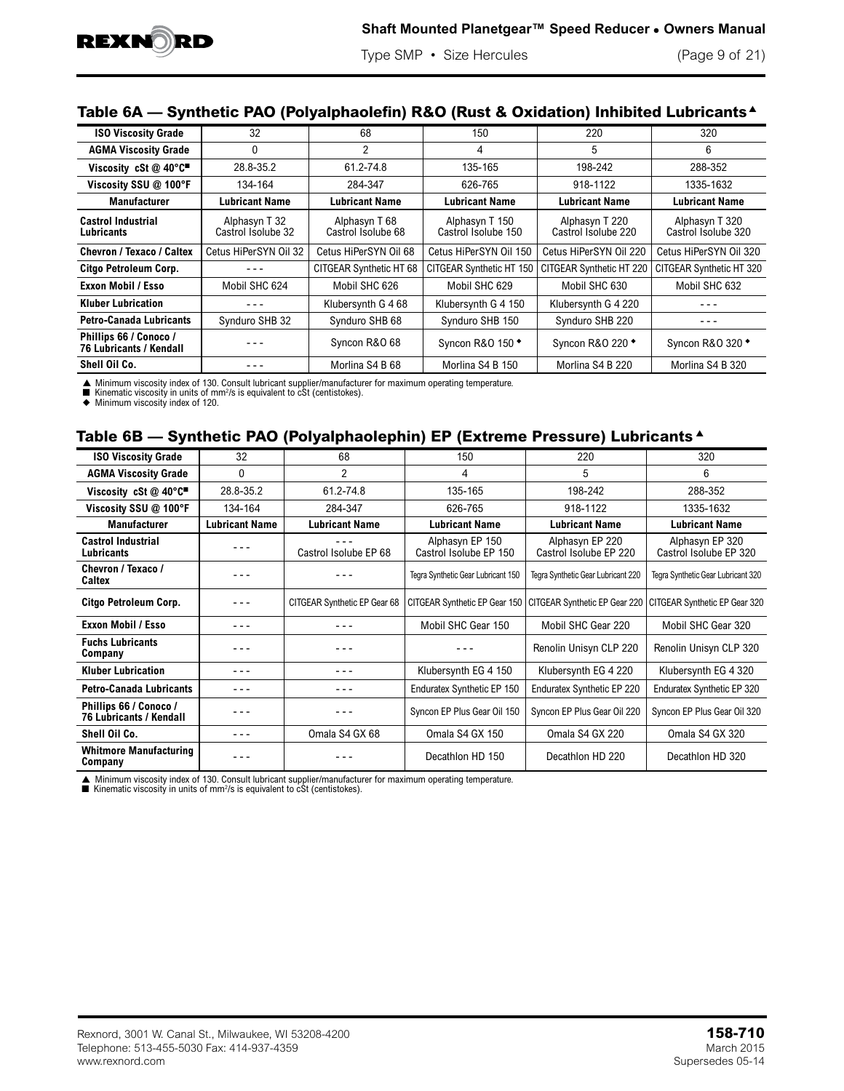

Type SMP • Size Hercules (Page 9 of 21)

#### Table 6A - Synthetic PAO (Polyalphaolefin) R&O (Rust & Oxidation) Inhibited Lubricants<sup>A</sup>

| <b>ISO Viscosity Grade</b>                               | 32                                  | 68                                  | 150                                   | 220                                   | 320                                   |
|----------------------------------------------------------|-------------------------------------|-------------------------------------|---------------------------------------|---------------------------------------|---------------------------------------|
| <b>AGMA Viscosity Grade</b>                              | 0                                   | 2                                   | 4                                     | 5                                     | 6                                     |
| Viscosity cSt @ 40°C                                     | 28.8-35.2                           | 61.2-74.8                           | 135-165                               | 198-242                               | 288-352                               |
| Viscosity SSU @ 100°F                                    | 134-164                             | 284-347                             | 626-765                               | 918-1122                              | 1335-1632                             |
| <b>Manufacturer</b>                                      | Lubricant Name                      | Lubricant Name                      | <b>Lubricant Name</b>                 | Lubricant Name                        | <b>Lubricant Name</b>                 |
| <b>Castrol Industrial</b><br>Lubricants                  | Alphasyn T 32<br>Castrol Isolube 32 | Alphasyn T 68<br>Castrol Isolube 68 | Alphasyn T 150<br>Castrol Isolube 150 | Alphasyn T 220<br>Castrol Isolube 220 | Alphasyn T 320<br>Castrol Isolube 320 |
| Chevron / Texaco / Caltex                                | Cetus HiPerSYN Oil 32               | Cetus HiPerSYN Oil 68               | Cetus HiPerSYN Oil 150                | Cetus HiPerSYN Oil 220                | Cetus HiPerSYN Oil 320                |
| Citgo Petroleum Corp.                                    |                                     | CITGEAR Synthetic HT 68             | CITGEAR Synthetic HT 150              | CITGEAR Synthetic HT 220              | CITGEAR Synthetic HT 320              |
| <b>Exxon Mobil / Esso</b>                                | Mobil SHC 624                       | Mobil SHC 626                       | Mobil SHC 629                         | Mobil SHC 630                         | Mobil SHC 632                         |
| <b>Kluber Lubrication</b>                                |                                     | Klubersynth G 4 68                  | Klubersynth G 4 150                   | Klubersynth G 4 220                   |                                       |
| <b>Petro-Canada Lubricants</b>                           | Synduro SHB 32                      | Synduro SHB 68                      | Synduro SHB 150                       | Synduro SHB 220                       | - - -                                 |
| Phillips 66 / Conoco /<br><b>76 Lubricants / Kendall</b> |                                     | Syncon R&O 68                       | Syncon R&O 150 *                      | Syncon R&O 220 *                      | Syncon R&O 320 *                      |
| Shell Oil Co.                                            |                                     | Morlina S4 B 68                     | Morlina S4 B 150                      | Morlina S4 B 220                      | Morlina S4 B 320                      |

▲ Minimum viscosity index of 130. Consult lubricant supplier/manufacturer for maximum operating temperature.<br>■ Kinematic viscosity in units of mm²/s is equivalent to cSt (centistokes).<br>◆ Minimum viscosity index of 120.

## **Table 6B — Synthetic PAO (Polyalphaolephin) EP (Extreme Pressure) Lubricants** <sup>s</sup>

| <b>ISO Viscosity Grade</b>                        | 32                    | 68                           | 150                                       | 220                                                           | 320                                       |
|---------------------------------------------------|-----------------------|------------------------------|-------------------------------------------|---------------------------------------------------------------|-------------------------------------------|
| <b>AGMA Viscosity Grade</b>                       | $\mathbf{0}$          | $\overline{2}$               | 4                                         | 5                                                             | 6                                         |
| Viscosity cSt @ 40°C                              | 28.8-35.2             | 61.2-74.8                    | 135-165                                   | 198-242                                                       | 288-352                                   |
| Viscosity SSU @ 100°F                             | 134-164               | 284-347                      | 626-765                                   | 918-1122                                                      | 1335-1632                                 |
| <b>Manufacturer</b>                               | <b>Lubricant Name</b> | <b>Lubricant Name</b>        | <b>Lubricant Name</b>                     | <b>Lubricant Name</b>                                         | <b>Lubricant Name</b>                     |
| <b>Castrol Industrial</b><br>Lubricants           |                       | Castrol Isolube EP 68        | Alphasyn EP 150<br>Castrol Isolube EP 150 | Alphasyn EP 220<br>Castrol Isolube EP 220                     | Alphasyn EP 320<br>Castrol Isolube EP 320 |
| Chevron / Texaco /<br>Caltex                      |                       |                              | Tegra Synthetic Gear Lubricant 150        | Tegra Synthetic Gear Lubricant 220                            | Tegra Synthetic Gear Lubricant 320        |
| Citgo Petroleum Corp.                             |                       | CITGEAR Synthetic EP Gear 68 | CITGEAR Synthetic EP Gear 150             | CITGEAR Synthetic EP Gear 220   CITGEAR Synthetic EP Gear 320 |                                           |
| Exxon Mobil / Esso                                |                       |                              | Mobil SHC Gear 150                        | Mobil SHC Gear 220                                            | Mobil SHC Gear 320                        |
| <b>Fuchs Lubricants</b><br>Company                |                       |                              |                                           | Renolin Unisyn CLP 220                                        | Renolin Unisyn CLP 320                    |
| <b>Kluber Lubrication</b>                         | - - -                 | ---                          | Klubersynth EG 4 150                      | Klubersynth EG 4 220                                          | Klubersynth EG 4 320                      |
| <b>Petro-Canada Lubricants</b>                    |                       |                              | Enduratex Synthetic EP 150                | Enduratex Synthetic EP 220                                    | Enduratex Synthetic EP 320                |
| Phillips 66 / Conoco /<br>76 Lubricants / Kendall |                       |                              | Syncon EP Plus Gear Oil 150               | Syncon EP Plus Gear Oil 220                                   | Syncon EP Plus Gear Oil 320               |
| Shell Oil Co.                                     |                       | Omala S4 GX 68               | Omala S4 GX 150                           | Omala S4 GX 220                                               | Omala S4 GX 320                           |
| <b>Whitmore Manufacturing</b><br>Company          |                       |                              | Decathlon HD 150                          | Decathlon HD 220                                              | Decathlon HD 320                          |

▲ Minimum viscosity index of 130. Consult lubricant supplier/manufacturer for maximum operating temperature.<br>■ Kinematic viscosity in units of mm<sup>2</sup>/s is equivalent to cSt (centistokes).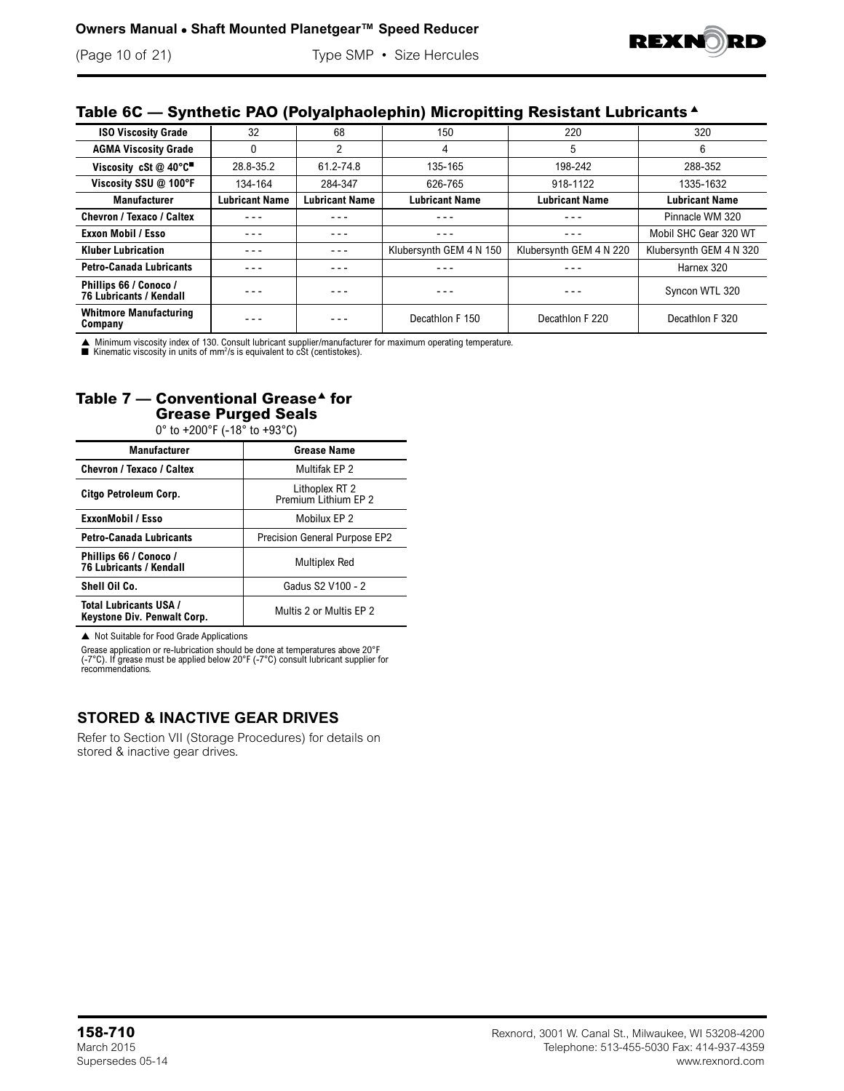

# **Table 6C — Synthetic PAO (Polyalphaolephin) Micropitting Resistant Lubricants** <sup>s</sup>

| <b>ISO Viscosity Grade</b>                        | 32                    | 68                    | 150                     | 220                     | 320                     |
|---------------------------------------------------|-----------------------|-----------------------|-------------------------|-------------------------|-------------------------|
| <b>AGMA Viscosity Grade</b>                       |                       | 2                     | 4                       | 5                       | 6                       |
| Viscosity cSt $@$ 40°C"                           | 28.8-35.2             | 61.2-74.8             | 135-165                 | 198-242                 | 288-352                 |
| Viscosity SSU @ 100°F                             | 134-164               | 284-347               | 626-765                 | 918-1122                | 1335-1632               |
| <b>Manufacturer</b>                               | <b>Lubricant Name</b> | <b>Lubricant Name</b> | <b>Lubricant Name</b>   | <b>Lubricant Name</b>   | <b>Lubricant Name</b>   |
| Chevron / Texaco / Caltex                         |                       | - - -                 |                         | - - -                   | Pinnacle WM 320         |
| Exxon Mobil / Esso                                |                       | - - -                 |                         |                         | Mobil SHC Gear 320 WT   |
| <b>Kluber Lubrication</b>                         |                       | - - -                 | Klubersynth GEM 4 N 150 | Klubersynth GEM 4 N 220 | Klubersynth GEM 4 N 320 |
| <b>Petro-Canada Lubricants</b>                    | ---                   | - - -                 | - - -                   | - - -                   | Harnex 320              |
| Phillips 66 / Conoco /<br>76 Lubricants / Kendall |                       | - - -                 |                         |                         | Syncon WTL 320          |
| <b>Whitmore Manufacturing</b><br>Company          |                       |                       | Decathlon F 150         | Decathlon F 220         | Decathlon F 320         |

▲ Minimum viscosity index of 130. Consult lubricant supplier/manufacturer for maximum operating temperature.<br>■ Kinematic viscosity in units of mm<sup>2</sup>/s is equivalent to cSt (centistokes).

#### Table 7 - Conventional Grease<sup> $\triangle$ </sup> for **Grease Purged Seals**

0° to +200°F (-18° to +93°C)

| <b>Manufacturer</b>                                          | <b>Grease Name</b>                     |
|--------------------------------------------------------------|----------------------------------------|
| <b>Chevron / Texaco / Caltex</b>                             | Multifak EP 2                          |
| Citgo Petroleum Corp.                                        | Lithoplex RT 2<br>Premium Lithium EP 2 |
| <b>ExxonMobil / Esso</b>                                     | Mobilux EP 2                           |
| <b>Petro-Canada Lubricants</b>                               | <b>Precision General Purpose EP2</b>   |
| Phillips 66 / Conoco /<br>76 Lubricants / Kendall            | <b>Multiplex Red</b>                   |
| Shell Oil Co.                                                | Gadus S2 V100 - 2                      |
| <b>Total Lubricants USA /</b><br>Keystone Div. Penwalt Corp. | Multis 2 or Multis EP 2                |

▲ Not Suitable for Food Grade Applications

Grease application or re-lubrication should be done at temperatures above 20°F (-7°C). If grease must be applied below 20°F (-7°C) consult lubricant supplier for recommendations.

#### **STORED & INACTIVE GEAR DRIVES**

Refer to Section VII (Storage Procedures) for details on stored & inactive gear drives.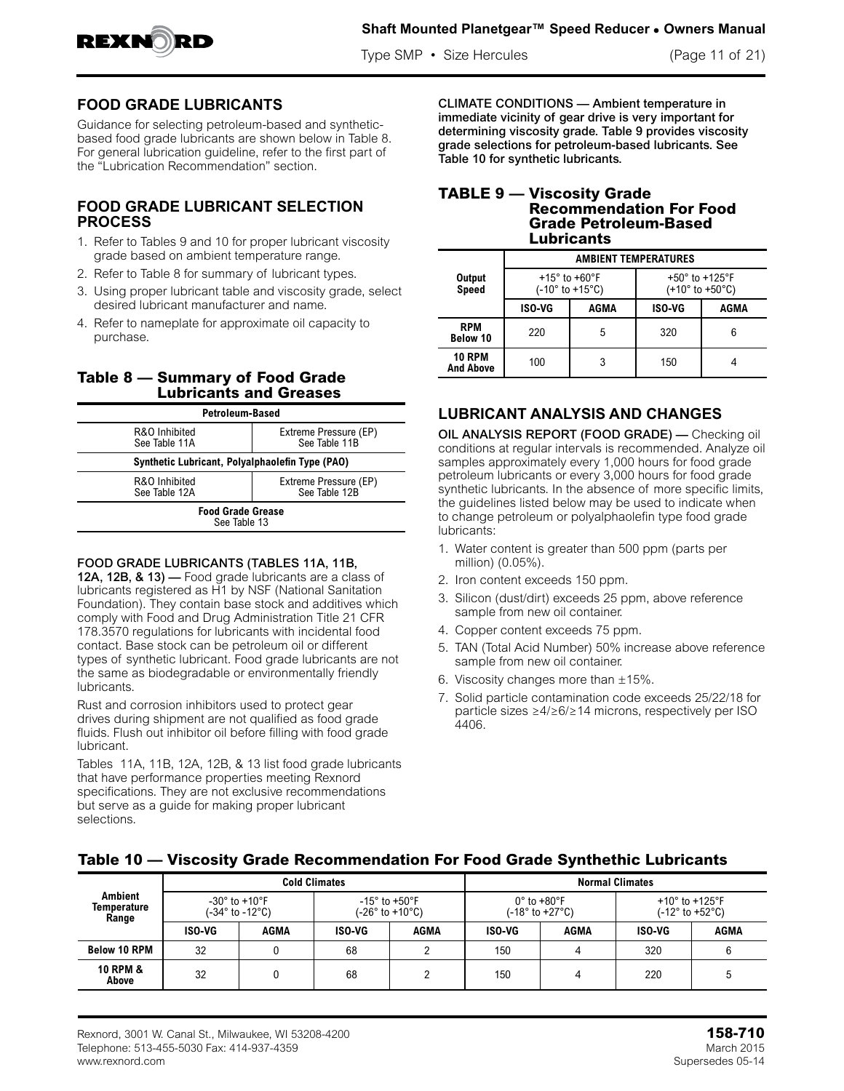

Type SMP • Size Hercules (Page 11 of 21)

#### **FOOD GRADE LUBRICANTS**

Guidance for selecting petroleum-based and syntheticbased food grade lubricants are shown below in Table 8. For general lubrication guideline, refer to the first part of the "Lubrication Recommendation" section.

#### **FOOD GRADE LUBRICANT SELECTION PROCESS**

- 1. Refer to Tables 9 and 10 for proper lubricant viscosity grade based on ambient temperature range.
- 2. Refer to Table 8 for summary of lubricant types.
- 3. Using proper lubricant table and viscosity grade, select desired lubricant manufacturer and name.
- 4. Refer to nameplate for approximate oil capacity to purchase.

#### **Table 8 — Summary of Food Grade Lubricants and Greases**

| Petroleum-Based                                                          |  |  |  |  |
|--------------------------------------------------------------------------|--|--|--|--|
| R&O Inhibited<br>Extreme Pressure (EP)<br>See Table 11B<br>See Table 11A |  |  |  |  |
| Synthetic Lubricant, Polyalphaolefin Type (PAO)                          |  |  |  |  |
| R&O Inhibited<br>Extreme Pressure (EP)<br>See Table 12B<br>See Table 12A |  |  |  |  |
| <b>Food Grade Grease</b><br>See Table 13                                 |  |  |  |  |

#### FOOD GRADE LUBRICANTS (TABLES 11A, 11B,

12A, 12B, & 13) — Food grade lubricants are a class of lubricants registered as H1 by NSF (National Sanitation Foundation). They contain base stock and additives which comply with Food and Drug Administration Title 21 CFR 178.3570 regulations for lubricants with incidental food contact. Base stock can be petroleum oil or different types of synthetic lubricant. Food grade lubricants are not the same as biodegradable or environmentally friendly lubricants.

Rust and corrosion inhibitors used to protect gear drives during shipment are not qualified as food grade fluids. Flush out inhibitor oil before filling with food grade lubricant.

Tables 11A, 11B, 12A, 12B, & 13 list food grade lubricants that have performance properties meeting Rexnord specifications. They are not exclusive recommendations but serve as a guide for making proper lubricant selections.

CLIMATE CONDITIONS — Ambient temperature in immediate vicinity of gear drive is very important for determining viscosity grade. Table 9 provides viscosity grade selections for petroleum-based lubricants. See Table 10 for synthetic lubricants.

#### **TABLE 9 — Viscosity Grade Recommendation For Food Grade Petroleum-Based Lubricants**

|                                   | <b>AMBIENT TEMPERATURES</b>                                        |      |                                                                     |      |  |
|-----------------------------------|--------------------------------------------------------------------|------|---------------------------------------------------------------------|------|--|
| <b>Output</b><br><b>Speed</b>     | $+15^\circ$ to $+60^\circ$ F<br>$(-10^{\circ}$ to $+15^{\circ}$ C) |      | $+50^\circ$ to $+125^\circ$ F<br>$(+10^{\circ}$ to $+50^{\circ}$ C) |      |  |
|                                   | <b>ISO-VG</b>                                                      | AGMA | <b>ISO-VG</b>                                                       | AGMA |  |
| <b>RPM</b><br>Below 10            | 220                                                                | 5    | 320                                                                 | 6    |  |
| <b>10 RPM</b><br><b>And Above</b> | 100                                                                | 3    | 150                                                                 |      |  |

#### **LUBRICANT ANALYSIS AND CHANGES**

OIL ANALYSIS REPORT (FOOD GRADE) — Checking oil conditions at regular intervals is recommended. Analyze oil samples approximately every 1,000 hours for food grade petroleum lubricants or every 3,000 hours for food grade synthetic lubricants. In the absence of more specific limits, the guidelines listed below may be used to indicate when to change petroleum or polyalphaolefin type food grade lubricants:

- 1. Water content is greater than 500 ppm (parts per million) (0.05%).
- 2. Iron content exceeds 150 ppm.
- 3. Silicon (dust/dirt) exceeds 25 ppm, above reference sample from new oil container.
- 4. Copper content exceeds 75 ppm.
- 5. TAN (Total Acid Number) 50% increase above reference sample from new oil container.
- 6. Viscosity changes more than  $\pm 15\%$ .
- 7. Solid particle contamination code exceeds 25/22/18 for particle sizes ≥4/≥6/≥14 microns, respectively per ISO 4406.

|                                               | <b>Cold Climates</b> |                                                  |                                                  |      |        |      | <b>Normal Climates</b>                                           |      |                                                                           |  |
|-----------------------------------------------|----------------------|--------------------------------------------------|--------------------------------------------------|------|--------|------|------------------------------------------------------------------|------|---------------------------------------------------------------------------|--|
| <b>Ambient</b><br><b>Temperature</b><br>Range |                      | $-30^\circ$ to $+10^\circ$ F<br>(-34° to -12°C). | $-15^\circ$ to $+50^\circ$ F<br>(-26° to +10°C). |      |        |      | $0^\circ$ to $+80^\circ$ F<br>$(-18^{\circ}$ to $+27^{\circ}$ C) |      | +10 $^{\circ}$ to +125 $^{\circ}$ F<br>$(-12^{\circ}$ to $+52^{\circ}$ C) |  |
|                                               | ISO-VG               | AGMA                                             | ISO-VG                                           | AGMA | ISO-VG | AGMA | ISO-VG                                                           | AGMA |                                                                           |  |
| <b>Below 10 RPM</b>                           | 32                   |                                                  | 68                                               |      | 150    |      | 320                                                              |      |                                                                           |  |
| <b>10 RPM &amp;</b><br>Above                  | 32                   |                                                  | 68                                               | ∩    | 150    |      | 220                                                              |      |                                                                           |  |

#### **Table 10 — Viscosity Grade Recommendation For Food Grade Synthethic Lubricants**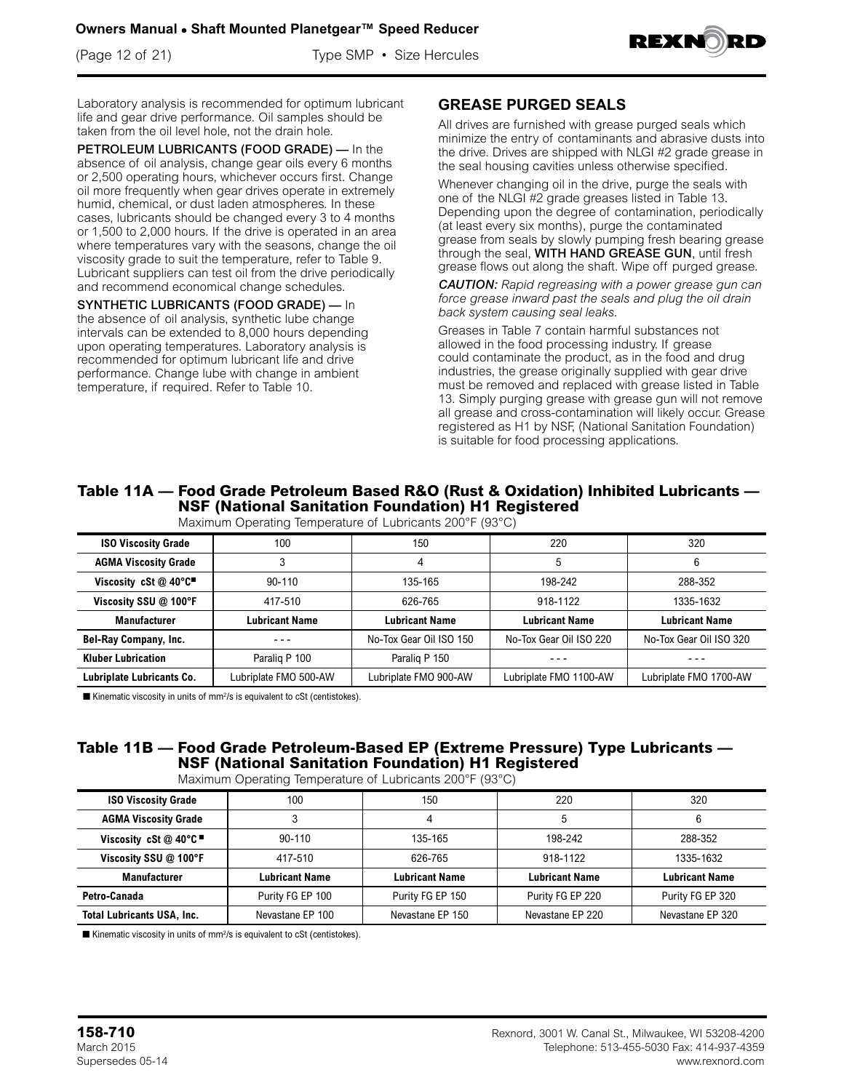(Page 12 of 21) Type SMP • Size Hercules



Laboratory analysis is recommended for optimum lubricant life and gear drive performance. Oil samples should be taken from the oil level hole, not the drain hole.

PETROLEUM LUBRICANTS (FOOD GRADE) — In the absence of oil analysis, change gear oils every 6 months or 2,500 operating hours, whichever occurs first. Change oil more frequently when gear drives operate in extremely humid, chemical, or dust laden atmospheres. In these cases, lubricants should be changed every 3 to 4 months or 1,500 to 2,000 hours. If the drive is operated in an area where temperatures vary with the seasons, change the oil viscosity grade to suit the temperature, refer to Table 9. Lubricant suppliers can test oil from the drive periodically and recommend economical change schedules.

SYNTHETIC LUBRICANTS (FOOD GRADE) — In the absence of oil analysis, synthetic lube change intervals can be extended to 8,000 hours depending upon operating temperatures. Laboratory analysis is recommended for optimum lubricant life and drive performance. Change lube with change in ambient temperature, if required. Refer to Table 10.

#### **GREASE PURGED SEALS**

All drives are furnished with grease purged seals which minimize the entry of contaminants and abrasive dusts into the drive. Drives are shipped with NLGI #2 grade grease in the seal housing cavities unless otherwise specified.

Whenever changing oil in the drive, purge the seals with one of the NLGI #2 grade greases listed in Table 13. Depending upon the degree of contamination, periodically (at least every six months), purge the contaminated grease from seals by slowly pumping fresh bearing grease through the seal, WITH HAND GREASE GUN, until fresh grease flows out along the shaft. Wipe off purged grease.

*CAUTION: Rapid regreasing with a power grease gun can force grease inward past the seals and plug the oil drain back system causing seal leaks.*

Greases in Table 7 contain harmful substances not allowed in the food processing industry. If grease could contaminate the product, as in the food and drug industries, the grease originally supplied with gear drive must be removed and replaced with grease listed in Table 13. Simply purging grease with grease gun will not remove all grease and cross-contamination will likely occur. Grease registered as H1 by NSF, (National Sanitation Foundation) is suitable for food processing applications.

#### **Table 11A — Food Grade Petroleum Based R&O (Rust & Oxidation) Inhibited Lubricants — NSF (National Sanitation Foundation) H1 Registered**

| <b>ISO Viscosity Grade</b>  | 100                   | 150                     | 220                     | 320                     |
|-----------------------------|-----------------------|-------------------------|-------------------------|-------------------------|
| <b>AGMA Viscosity Grade</b> | 3                     | 4                       | 5                       | 6                       |
| Viscosity cSt $@$ 40°C"     | $90 - 110$            | 135-165                 | 198-242                 | 288-352                 |
| Viscosity SSU @ 100°F       | 417-510               | 626-765                 | 918-1122                | 1335-1632               |
| <b>Manufacturer</b>         | Lubricant Name        | Lubricant Name          | Lubricant Name          | <b>Lubricant Name</b>   |
| Bel-Ray Company, Inc.       |                       | No-Tox Gear Oil ISO 150 | No-Tox Gear Oil ISO 220 | No-Tox Gear Oil ISO 320 |
| <b>Kluber Lubrication</b>   | Paralig P 100         | Paralig P 150           | - - -                   |                         |
| Lubriplate Lubricants Co.   | Lubriplate FMO 500-AW | Lubriplate FMO 900-AW   | Lubriplate FMO 1100-AW  | Lubriplate FMO 1700-AW  |

Maximum Operating Temperature of Lubricants 200°F (93°C)

E Kinematic viscosity in units of  $mm^2/s$  is equivalent to cSt (centistokes).

### **Table 11B — Food Grade Petroleum-Based EP (Extreme Pressure) Type Lubricants — NSF (National Sanitation Foundation) H1 Registered**

Maximum Operating Temperature of Lubricants 200°F (93°C)

| <b>ISO Viscosity Grade</b>        | 100                   | 150                   | 220                   | 320                   |
|-----------------------------------|-----------------------|-----------------------|-----------------------|-----------------------|
| <b>AGMA Viscosity Grade</b>       | ∘                     | 4                     |                       | 6                     |
| Viscosity cSt @ 40 $^{\circ}$ C = | $90 - 110$            | 135-165               | 198-242               | 288-352               |
| Viscosity SSU @ 100°F             | 417-510               | 626-765               | 918-1122              | 1335-1632             |
| <b>Manufacturer</b>               | <b>Lubricant Name</b> | <b>Lubricant Name</b> | <b>Lubricant Name</b> | <b>Lubricant Name</b> |
| Petro-Canada                      | Purity FG EP 100      | Purity FG EP 150      | Purity FG EP 220      | Purity FG EP 320      |
| <b>Total Lubricants USA, Inc.</b> | Nevastane EP 100      | Nevastane EP 150      | Nevastane EP 220      | Nevastane EP 320      |

 $\blacksquare$  Kinematic viscosity in units of mm<sup>2</sup>/s is equivalent to cSt (centistokes).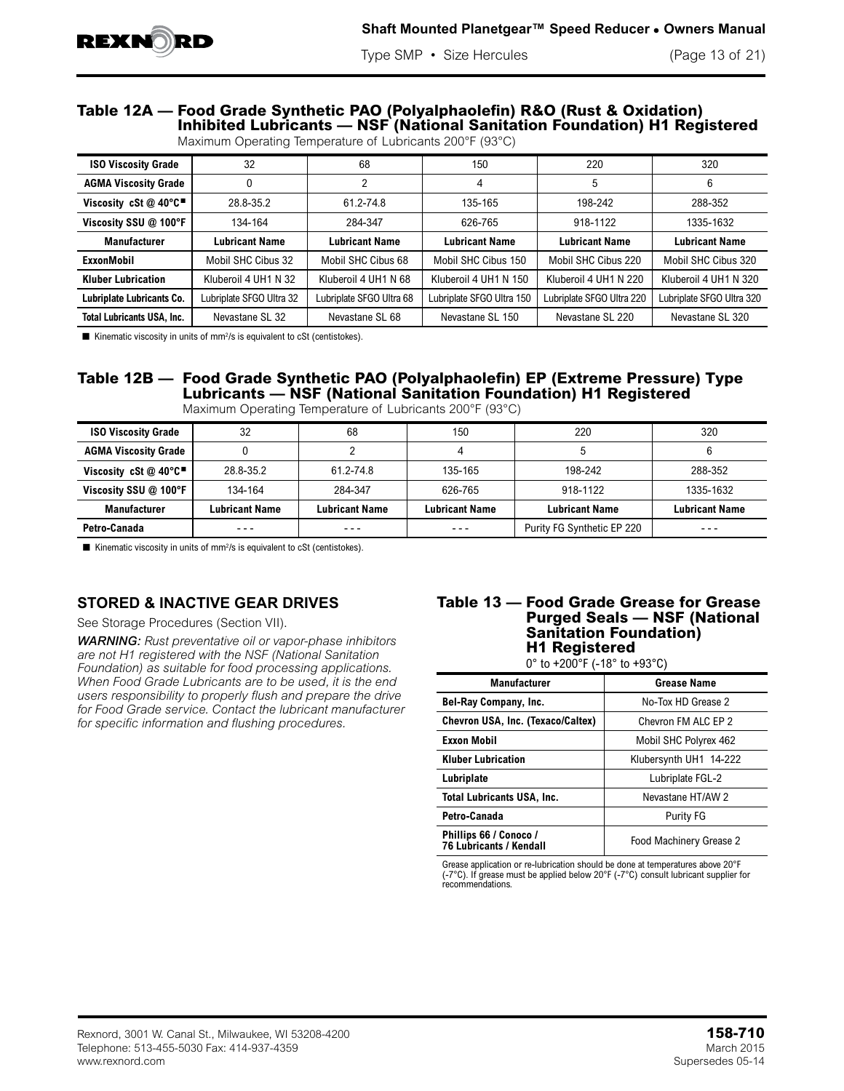

Type SMP • Size Hercules (Page 13 of 21)

## **Table 12A — Food Grade Synthetic PAO (Polyalphaolefin) R&O (Rust & Oxidation) Inhibited Lubricants — NSF (National Sanitation Foundation) H1 Registered**

| <b>ISO Viscosity Grade</b>        | 32                       | 68                       | 150                       | 220                       | 320                       |
|-----------------------------------|--------------------------|--------------------------|---------------------------|---------------------------|---------------------------|
| <b>AGMA Viscosity Grade</b>       | 0                        | າ                        | 4                         | 5                         | 6                         |
| Viscosity cSt @ 40°C"             | 28.8-35.2                | 61.2-74.8                | 135-165                   | 198-242                   | 288-352                   |
| Viscosity SSU @ 100°F             | 134-164                  | 284-347                  | 626-765                   | 918-1122                  | 1335-1632                 |
| <b>Manufacturer</b>               | <b>Lubricant Name</b>    | Lubricant Name           | <b>Lubricant Name</b>     | <b>Lubricant Name</b>     | <b>Lubricant Name</b>     |
| <b>ExxonMobil</b>                 | Mobil SHC Cibus 32       | Mobil SHC Cibus 68       | Mobil SHC Cibus 150       | Mobil SHC Cibus 220       | Mobil SHC Cibus 320       |
| <b>Kluber Lubrication</b>         | Kluberoil 4 UH1 N 32     | Kluberoil 4 UH1 N 68     | Kluberoil 4 UH1 N 150     | Kluberoil 4 UH1 N 220     | Kluberoil 4 UH1 N 320     |
| Lubriplate Lubricants Co.         | Lubriplate SFGO Ultra 32 | Lubriplate SFGO Ultra 68 | Lubriplate SFGO Ultra 150 | Lubriplate SFGO Ultra 220 | Lubriplate SFGO Ultra 320 |
| <b>Total Lubricants USA, Inc.</b> | Nevastane SL 32          | Nevastane SL 68          | Nevastane SL 150          | Nevastane SL 220          | Nevastane SL 320          |

Maximum Operating Temperature of Lubricants 200°F (93°C)

 $\blacksquare$  Kinematic viscosity in units of mm<sup>2</sup>/s is equivalent to cSt (centistokes).

### **Table 12B — Food Grade Synthetic PAO (Polyalphaolefin) EP (Extreme Pressure) Type Lubricants — NSF (National Sanitation Foundation) H1 Registered**

| <b>ISO Viscosity Grade</b>                                     | 32                    | 68             | 150                   | 220                        | 320                   |
|----------------------------------------------------------------|-----------------------|----------------|-----------------------|----------------------------|-----------------------|
| <b>AGMA Viscosity Grade</b>                                    |                       |                |                       |                            |                       |
| Viscosity cSt $@$ 40 $°C$ <sup><math>\blacksquare</math></sup> | 28.8-35.2             | 61.2-74.8      | 135-165               | 198-242                    | 288-352               |
| Viscosity SSU @ 100°F                                          | 134-164               | 284-347        | 626-765               | 918-1122                   | 1335-1632             |
| <b>Manufacturer</b>                                            | <b>Lubricant Name</b> | Lubricant Name | <b>Lubricant Name</b> | <b>Lubricant Name</b>      | <b>Lubricant Name</b> |
| Petro-Canada                                                   | $- - -$               | $- - -$        | ---                   | Purity FG Synthetic EP 220 | ---                   |

Maximum Operating Temperature of Lubricants 200°F (93°C)

 $\blacksquare$  Kinematic viscosity in units of mm<sup>2</sup>/s is equivalent to cSt (centistokes).

### **STORED & INACTIVE GEAR DRIVES**

See Storage Procedures (Section VII).

*WARNING: Rust preventative oil or vapor-phase inhibitors are not H1 registered with the NSF (National Sanitation Foundation) as suitable for food processing applications. When Food Grade Lubricants are to be used, it is the end users responsibility to properly flush and prepare the drive for Food Grade service. Contact the lubricant manufacturer for specific information and flushing procedures.*

#### **Table 13 — Food Grade Grease for Grease Purged Seals — NSF (National Sanitation Foundation) H1 Registered**

0° to +200°F (-18° to +93°C)

| <b>Manufacturer</b>                                      | <b>Grease Name</b>      |
|----------------------------------------------------------|-------------------------|
| <b>Bel-Ray Company, Inc.</b>                             | No-Tox HD Grease 2      |
| Chevron USA, Inc. (Texaco/Caltex)                        | Chevron FM ALC EP 2     |
| <b>Exxon Mobil</b>                                       | Mobil SHC Polyrex 462   |
| <b>Kluber Lubrication</b>                                | Klubersynth UH1 14-222  |
| Lubriplate                                               | Lubriplate FGL-2        |
| <b>Total Lubricants USA, Inc.</b>                        | Nevastane HT/AW 2       |
| Petro-Canada                                             | <b>Purity FG</b>        |
| Phillips 66 / Conoco /<br><b>76 Lubricants / Kendall</b> | Food Machinery Grease 2 |

Grease application or re-lubrication should be done at temperatures above 20°F (-7°C). If grease must be applied below 20°F (-7°C) consult lubricant supplier for recommendations.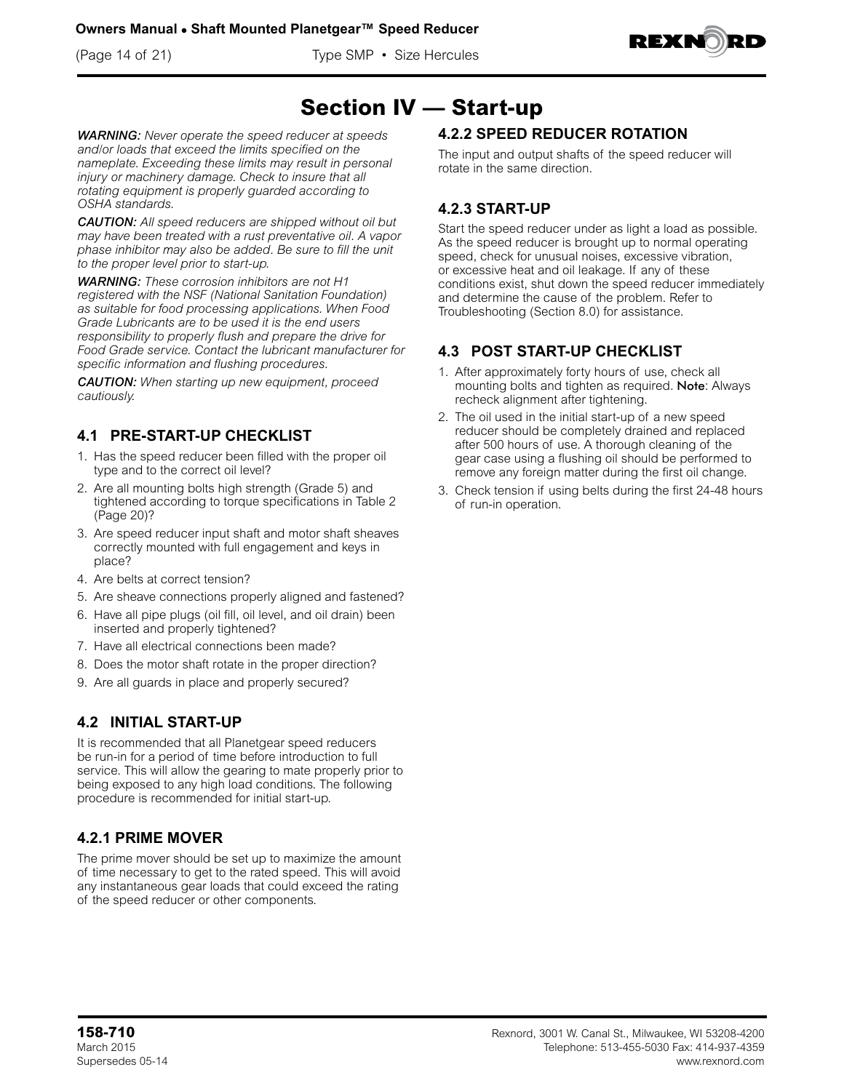



# **Section IV — Start-up**

#### *WARNING: Never operate the speed reducer at speeds and/or loads that exceed the limits specified on the nameplate. Exceeding these limits may result in personal injury or machinery damage. Check to insure that all rotating equipment is properly guarded according to OSHA standards.*

*CAUTION: All speed reducers are shipped without oil but may have been treated with a rust preventative oil. A vapor phase inhibitor may also be added. Be sure to fill the unit to the proper level prior to start-up.*

*WARNING: These corrosion inhibitors are not H1 registered with the NSF (National Sanitation Foundation) as suitable for food processing applications. When Food Grade Lubricants are to be used it is the end users responsibility to properly flush and prepare the drive for Food Grade service. Contact the lubricant manufacturer for specific information and flushing procedures.*

*CAUTION: When starting up new equipment, proceed cautiously.*

## **4.1 PRE-START-UP CHECKLIST**

- 1. Has the speed reducer been filled with the proper oil type and to the correct oil level?
- 2. Are all mounting bolts high strength (Grade 5) and tightened according to torque specifications in Table 2 (Page 20)?
- 3. Are speed reducer input shaft and motor shaft sheaves correctly mounted with full engagement and keys in place?
- 4. Are belts at correct tension?
- 5. Are sheave connections properly aligned and fastened?
- 6. Have all pipe plugs (oil fill, oil level, and oil drain) been inserted and properly tightened?
- 7. Have all electrical connections been made?
- 8. Does the motor shaft rotate in the proper direction?
- 9. Are all guards in place and properly secured?

## **4.2 INITIAL START-UP**

It is recommended that all Planetgear speed reducers be run-in for a period of time before introduction to full service. This will allow the gearing to mate properly prior to being exposed to any high load conditions. The following procedure is recommended for initial start-up.

## **4.2.1 PRIME MOVER**

The prime mover should be set up to maximize the amount of time necessary to get to the rated speed. This will avoid any instantaneous gear loads that could exceed the rating of the speed reducer or other components.

# **4.2.2 SPEED REDUCER ROTATION**

The input and output shafts of the speed reducer will rotate in the same direction.

## **4.2.3 START-UP**

Start the speed reducer under as light a load as possible. As the speed reducer is brought up to normal operating speed, check for unusual noises, excessive vibration, or excessive heat and oil leakage. If any of these conditions exist, shut down the speed reducer immediately and determine the cause of the problem. Refer to Troubleshooting (Section 8.0) for assistance.

## **4.3 POST START-UP CHECKLIST**

- 1. After approximately forty hours of use, check all mounting bolts and tighten as required. Note: Always recheck alignment after tightening.
- 2. The oil used in the initial start-up of a new speed reducer should be completely drained and replaced after 500 hours of use. A thorough cleaning of the gear case using a flushing oil should be performed to remove any foreign matter during the first oil change.
- 3. Check tension if using belts during the first 24-48 hours of run-in operation.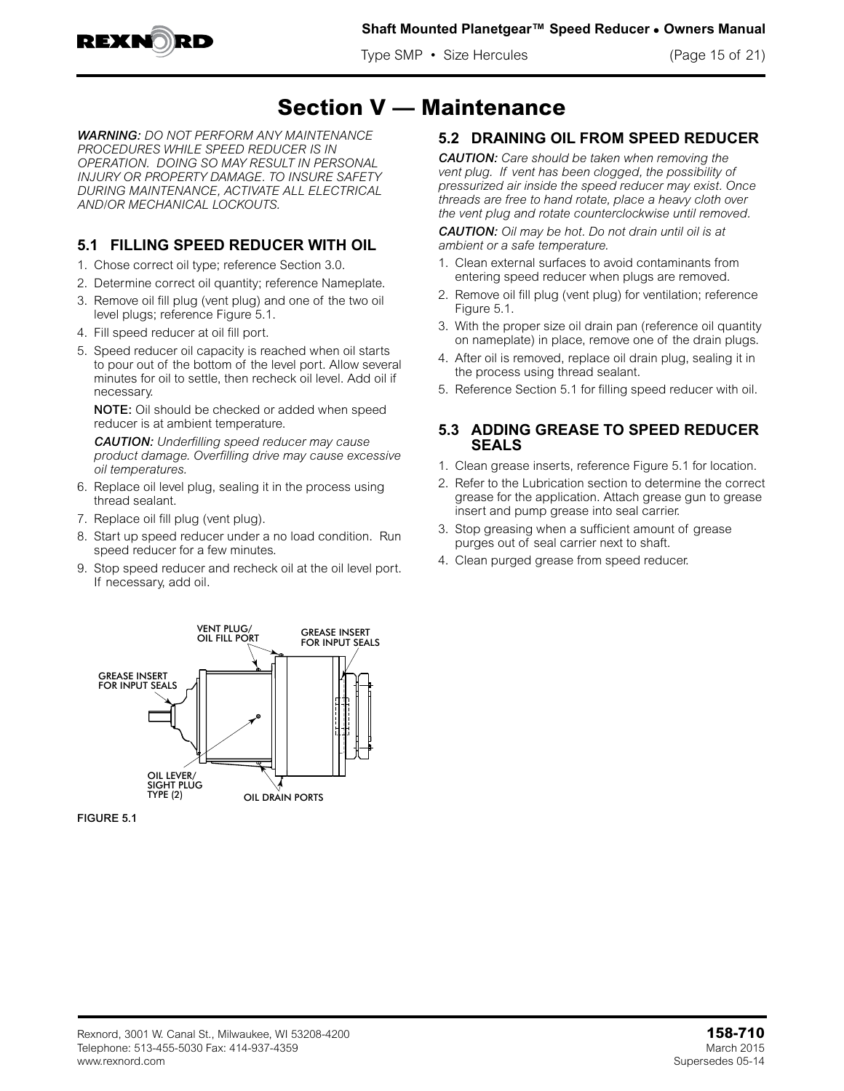

Type SMP • Size Hercules (Page 15 of 21)



# **Section V — Maintenance**

*WARNING: DO NOT PERFORM ANY MAINTENANCE PROCEDURES WHILE SPEED REDUCER IS IN OPERATION. DOING SO MAY RESULT IN PERSONAL INJURY OR PROPERTY DAMAGE. TO INSURE SAFETY DURING MAINTENANCE, ACTIVATE ALL ELECTRICAL AND/OR MECHANICAL LOCKOUTS.*

### **5.1 FILLING SPEED REDUCER WITH OIL**

- 1. Chose correct oil type; reference Section 3.0.
- 2. Determine correct oil quantity; reference Nameplate.
- 3. Remove oil fill plug (vent plug) and one of the two oil level plugs; reference Figure 5.1.
- 4. Fill speed reducer at oil fill port.
- 5. Speed reducer oil capacity is reached when oil starts to pour out of the bottom of the level port. Allow several minutes for oil to settle, then recheck oil level. Add oil if necessary.

NOTE: Oil should be checked or added when speed reducer is at ambient temperature.

*CAUTION: Underfilling speed reducer may cause product damage. Overfilling drive may cause excessive oil temperatures.*

- 6. Replace oil level plug, sealing it in the process using thread sealant.
- 7. Replace oil fill plug (vent plug).
- 8. Start up speed reducer under a no load condition. Run speed reducer for a few minutes.
- 9. Stop speed reducer and recheck oil at the oil level port. If necessary, add oil.

## **5.2 DRAINING OIL FROM SPEED REDUCER**

*CAUTION: Care should be taken when removing the vent plug. If vent has been clogged, the possibility of pressurized air inside the speed reducer may exist. Once threads are free to hand rotate, place a heavy cloth over the vent plug and rotate counterclockwise until removed. CAUTION: Oil may be hot. Do not drain until oil is at ambient or a safe temperature.*

- 1. Clean external surfaces to avoid contaminants from entering speed reducer when plugs are removed.
- 2. Remove oil fill plug (vent plug) for ventilation; reference Figure 5.1.
- 3. With the proper size oil drain pan (reference oil quantity on nameplate) in place, remove one of the drain plugs.
- 4. After oil is removed, replace oil drain plug, sealing it in the process using thread sealant.
- 5. Reference Section 5.1 for filling speed reducer with oil.

#### **5.3 ADDING GREASE TO SPEED REDUCER SEALS**

- 1. Clean grease inserts, reference Figure 5.1 for location.
- 2. Refer to the Lubrication section to determine the correct grease for the application. Attach grease gun to grease insert and pump grease into seal carrier.
- 3. Stop greasing when a sufficient amount of grease purges out of seal carrier next to shaft.
- 4. Clean purged grease from speed reducer.



FIGURE 5.1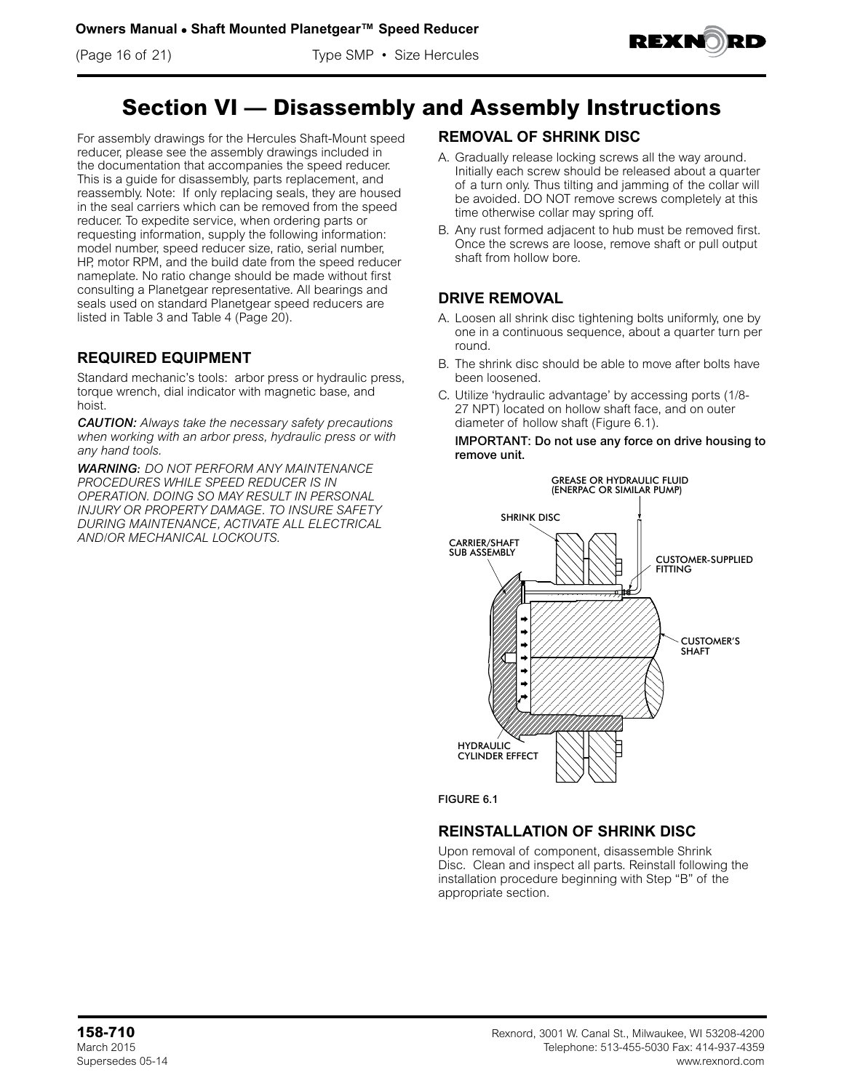

# **Section VI — Disassembly and Assembly Instructions**

For assembly drawings for the Hercules Shaft-Mount speed reducer, please see the assembly drawings included in the documentation that accompanies the speed reducer. This is a guide for disassembly, parts replacement, and reassembly. Note: If only replacing seals, they are housed in the seal carriers which can be removed from the speed reducer. To expedite service, when ordering parts or requesting information, supply the following information: model number, speed reducer size, ratio, serial number, HP, motor RPM, and the build date from the speed reducer nameplate. No ratio change should be made without first consulting a Planetgear representative. All bearings and seals used on standard Planetgear speed reducers are listed in Table 3 and Table 4 (Page 20).

## **REQUIRED EQUIPMENT**

Standard mechanic's tools: arbor press or hydraulic press, torque wrench, dial indicator with magnetic base, and hoist.

*CAUTION: Always take the necessary safety precautions when working with an arbor press, hydraulic press or with any hand tools.*

*WARNING: DO NOT PERFORM ANY MAINTENANCE PROCEDURES WHILE SPEED REDUCER IS IN OPERATION. DOING SO MAY RESULT IN PERSONAL INJURY OR PROPERTY DAMAGE. TO INSURE SAFETY DURING MAINTENANCE, ACTIVATE ALL ELECTRICAL AND/OR MECHANICAL LOCKOUTS.*

## **REMOVAL OF SHRINK DISC**

- A. Gradually release locking screws all the way around. Initially each screw should be released about a quarter of a turn only. Thus tilting and jamming of the collar will be avoided. DO NOT remove screws completely at this time otherwise collar may spring off.
- B. Any rust formed adjacent to hub must be removed first. Once the screws are loose, remove shaft or pull output shaft from hollow bore.

## **DRIVE REMOVAL**

- A. Loosen all shrink disc tightening bolts uniformly, one by one in a continuous sequence, about a quarter turn per round.
- B. The shrink disc should be able to move after bolts have been loosened.
- C. Utilize 'hydraulic advantage' by accessing ports (1/8- 27 NPT) located on hollow shaft face, and on outer diameter of hollow shaft (Figure 6.1).

IMPORTANT: Do not use any force on drive housing to remove unit.



FIGURE 6.1

### **REINSTALLATION OF SHRINK DISC**

Upon removal of component, disassemble Shrink Disc. Clean and inspect all parts. Reinstall following the installation procedure beginning with Step "B" of the appropriate section.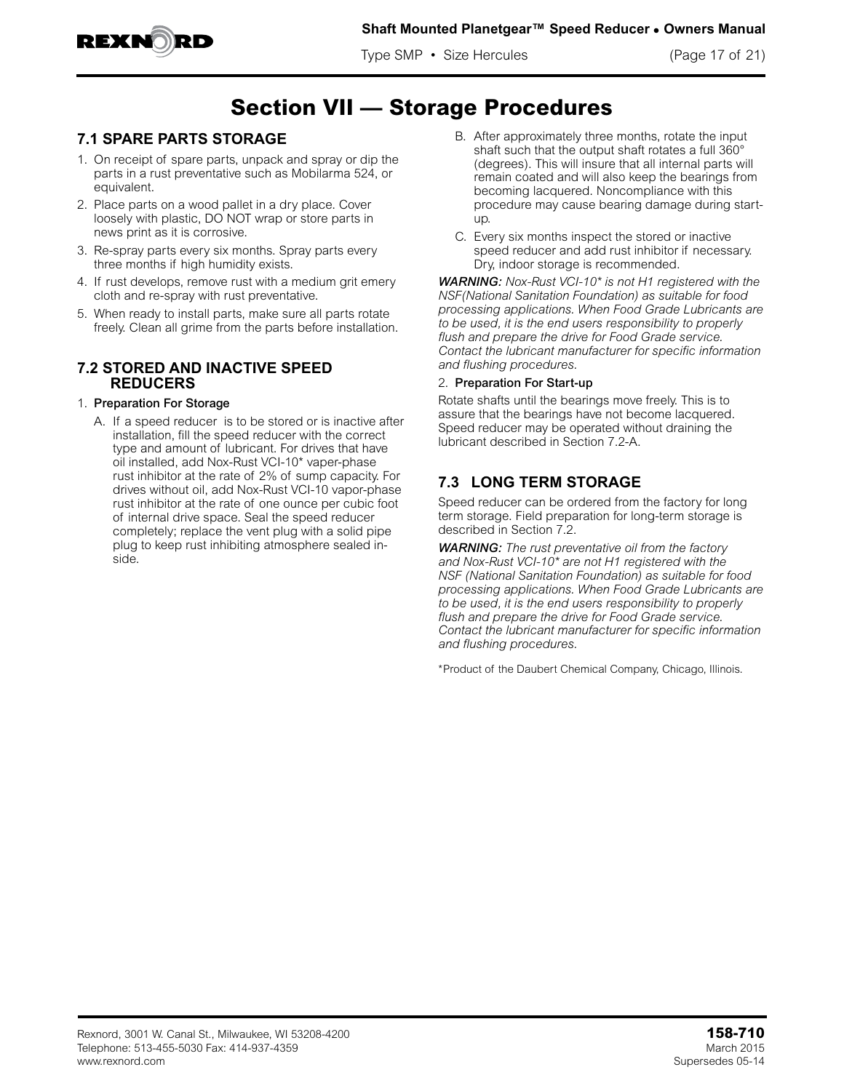R**exn**o)Rd

Type SMP • Size Hercules (Page 17 of 21)

# **Section VII — Storage Procedures**

## **7.1 SPARE PARTS STORAGE**

- 1. On receipt of spare parts, unpack and spray or dip the parts in a rust preventative such as Mobilarma 524, or equivalent.
- 2. Place parts on a wood pallet in a dry place. Cover loosely with plastic, DO NOT wrap or store parts in news print as it is corrosive.
- 3. Re-spray parts every six months. Spray parts every three months if high humidity exists.
- 4. If rust develops, remove rust with a medium grit emery cloth and re-spray with rust preventative.
- 5. When ready to install parts, make sure all parts rotate freely. Clean all grime from the parts before installation.

#### **7.2 STORED AND INACTIVE SPEED REDUCERS**

#### 1. Preparation For Storage

A. If a speed reducer is to be stored or is inactive after installation, fill the speed reducer with the correct type and amount of lubricant. For drives that have oil installed, add Nox-Rust VCI-10\* vaper-phase rust inhibitor at the rate of 2% of sump capacity. For drives without oil, add Nox-Rust VCI-10 vapor-phase rust inhibitor at the rate of one ounce per cubic foot of internal drive space. Seal the speed reducer completely; replace the vent plug with a solid pipe plug to keep rust inhibiting atmosphere sealed inside.

- B. After approximately three months, rotate the input shaft such that the output shaft rotates a full 360° (degrees). This will insure that all internal parts will remain coated and will also keep the bearings from becoming lacquered. Noncompliance with this procedure may cause bearing damage during startup.
- C. Every six months inspect the stored or inactive speed reducer and add rust inhibitor if necessary. Dry, indoor storage is recommended.

*WARNING: Nox-Rust VCI-10\* is not H1 registered with the NSF(National Sanitation Foundation) as suitable for food processing applications. When Food Grade Lubricants are to be used, it is the end users responsibility to properly flush and prepare the drive for Food Grade service. Contact the lubricant manufacturer for specific information and flushing procedures.*

#### 2. Preparation For Start-up

Rotate shafts until the bearings move freely. This is to assure that the bearings have not become lacquered. Speed reducer may be operated without draining the lubricant described in Section 7.2-A.

## **7.3 LONG TERM STORAGE**

Speed reducer can be ordered from the factory for long term storage. Field preparation for long-term storage is described in Section 7.2.

*WARNING: The rust preventative oil from the factory and Nox-Rust VCI-10\* are not H1 registered with the NSF (National Sanitation Foundation) as suitable for food processing applications. When Food Grade Lubricants are to be used, it is the end users responsibility to properly flush and prepare the drive for Food Grade service. Contact the lubricant manufacturer for specific information and flushing procedures.*

\*Product of the Daubert Chemical Company, Chicago, Illinois.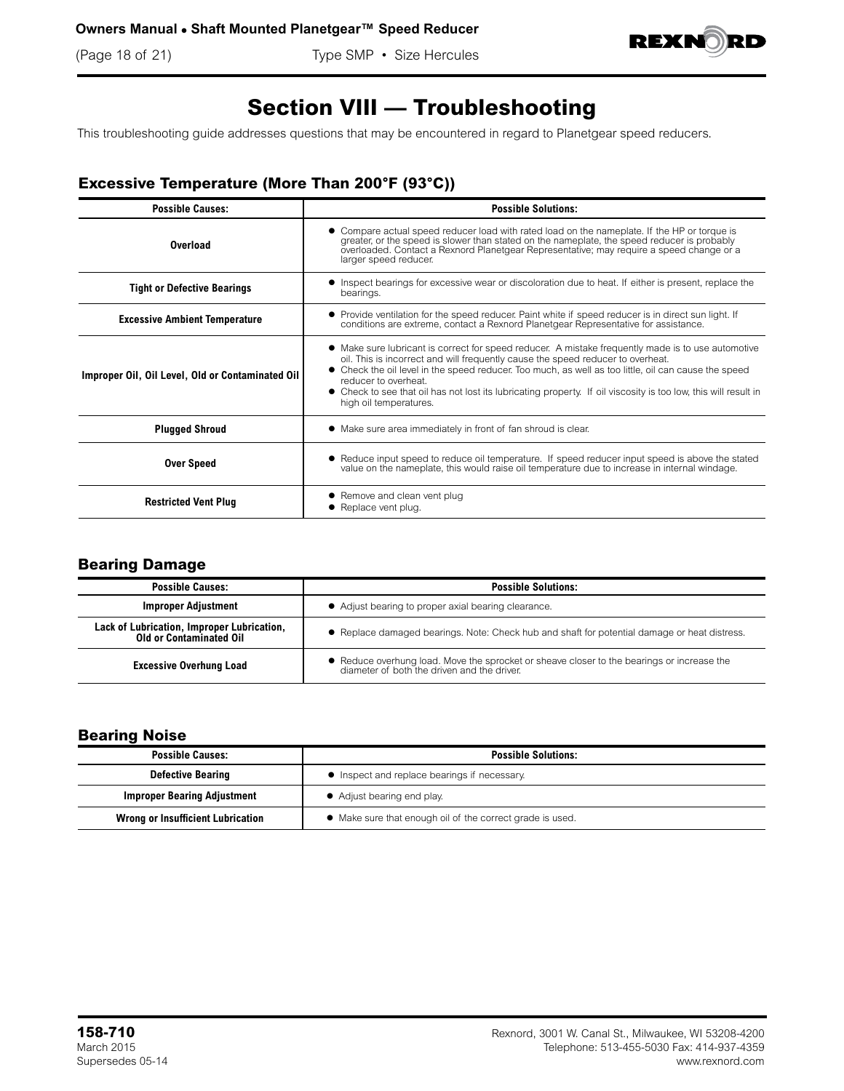



# **Section VIII — Troubleshooting**

This troubleshooting guide addresses questions that may be encountered in regard to Planetgear speed reducers.

## **Excessive Temperature (More Than 200°F (93°C))**

| <b>Possible Causes:</b>                          | <b>Possible Solutions:</b>                                                                                                                                                                                                                                                                                                                                                                                                                                         |
|--------------------------------------------------|--------------------------------------------------------------------------------------------------------------------------------------------------------------------------------------------------------------------------------------------------------------------------------------------------------------------------------------------------------------------------------------------------------------------------------------------------------------------|
| Overload                                         | • Compare actual speed reducer load with rated load on the nameplate. If the HP or torque is<br>greater, or the speed is slower than stated on the nameplate, the speed reducer is probably<br>overloaded. Contact a Rexnord Planetgear Representative; may require a speed change or a<br>larger speed reducer.                                                                                                                                                   |
| <b>Tight or Defective Bearings</b>               | • Inspect bearings for excessive wear or discoloration due to heat. If either is present, replace the<br>bearings.                                                                                                                                                                                                                                                                                                                                                 |
| <b>Excessive Ambient Temperature</b>             | • Provide ventilation for the speed reducer. Paint white if speed reducer is in direct sun light. If<br>conditions are extreme, contact a Rexnord Planetgear Representative for assistance.                                                                                                                                                                                                                                                                        |
| Improper Oil, Oil Level, Old or Contaminated Oil | • Make sure lubricant is correct for speed reducer. A mistake frequently made is to use automotive<br>oil. This is incorrect and will frequently cause the speed reducer to overheat.<br>• Check the oil level in the speed reducer. Too much, as well as too little, oil can cause the speed<br>reducer to overheat.<br>• Check to see that oil has not lost its lubricating property. If oil viscosity is too low, this will result in<br>high oil temperatures. |
| <b>Plugged Shroud</b>                            | • Make sure area immediately in front of fan shroud is clear.                                                                                                                                                                                                                                                                                                                                                                                                      |
| <b>Over Speed</b>                                | • Reduce input speed to reduce oil temperature. If speed reducer input speed is above the stated<br>value on the nameplate, this would raise oil temperature due to increase in internal windage.                                                                                                                                                                                                                                                                  |
| <b>Restricted Vent Plug</b>                      | • Remove and clean vent plug<br>• Replace vent plug.                                                                                                                                                                                                                                                                                                                                                                                                               |

#### **Bearing Damage**

| <b>Possible Causes:</b>                                                      | <b>Possible Solutions:</b>                                                                                                                |  |
|------------------------------------------------------------------------------|-------------------------------------------------------------------------------------------------------------------------------------------|--|
| <b>Improper Adjustment</b>                                                   | • Adjust bearing to proper axial bearing clearance.                                                                                       |  |
| Lack of Lubrication, Improper Lubrication,<br><b>Old or Contaminated Oil</b> | • Replace damaged bearings. Note: Check hub and shaft for potential damage or heat distress.                                              |  |
| <b>Excessive Overhung Load</b>                                               | • Reduce overhung load. Move the sprocket or sheave closer to the bearings or increase the<br>diameter of both the driven and the driver. |  |

#### **Bearing Noise**

| <b>Possible Causes:</b>                  | <b>Possible Solutions:</b>                                |  |
|------------------------------------------|-----------------------------------------------------------|--|
| <b>Defective Bearing</b>                 | • Inspect and replace bearings if necessary.              |  |
| <b>Improper Bearing Adjustment</b>       | • Adjust bearing end play.                                |  |
| <b>Wrong or Insufficient Lubrication</b> | • Make sure that enough oil of the correct grade is used. |  |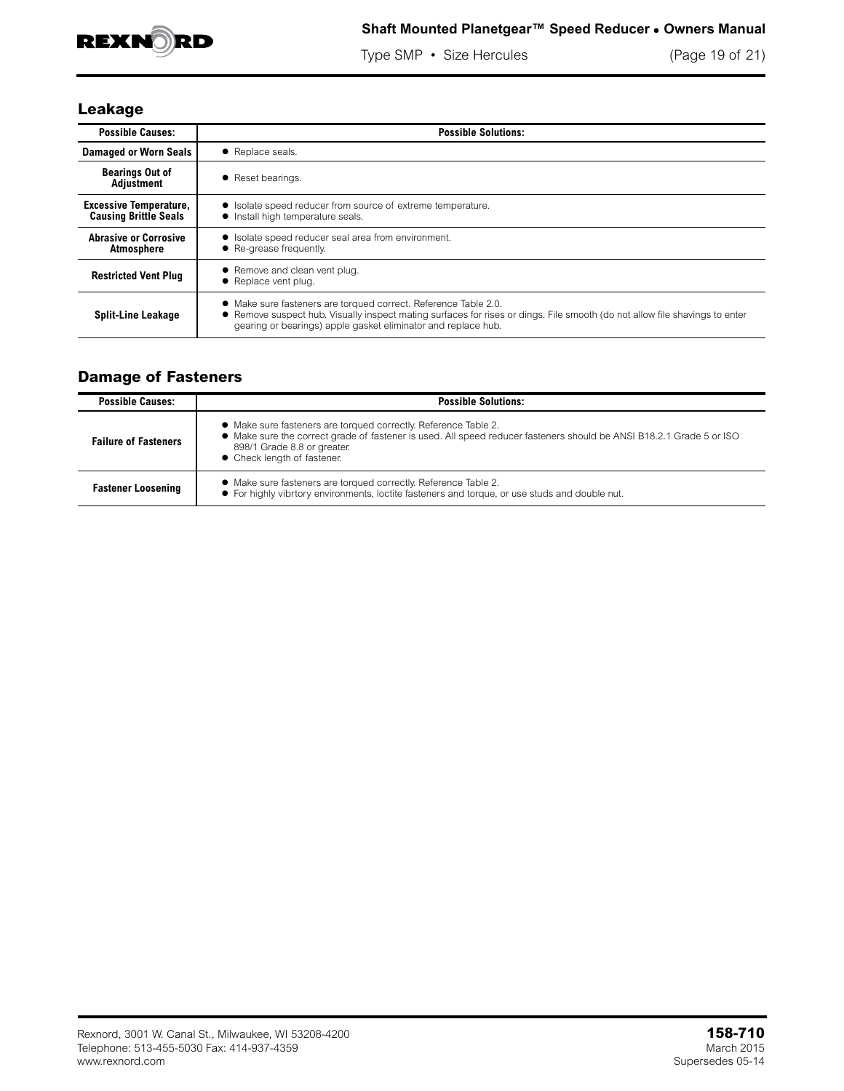

## **Shaft Mounted Planetgear™ Speed Reducer • Owners Manual**

Type SMP • Size Hercules (Page 19 of 21)

## **Leakage**

| <b>Possible Causes:</b>                                       | <b>Possible Solutions:</b>                                                                                                                                                                                                                                      |
|---------------------------------------------------------------|-----------------------------------------------------------------------------------------------------------------------------------------------------------------------------------------------------------------------------------------------------------------|
| <b>Damaged or Worn Seals</b>                                  | • Replace seals.                                                                                                                                                                                                                                                |
| <b>Bearings Out of</b><br>Adjustment                          | • Reset bearings.                                                                                                                                                                                                                                               |
| <b>Excessive Temperature,</b><br><b>Causing Brittle Seals</b> | • Isolate speed reducer from source of extreme temperature.<br>• Install high temperature seals.                                                                                                                                                                |
| <b>Abrasive or Corrosive</b><br><b>Atmosphere</b>             | • Isolate speed reducer seal area from environment.<br>• Re-grease frequently.                                                                                                                                                                                  |
| <b>Restricted Vent Plug</b>                                   | • Remove and clean vent plug.<br>• Replace vent plug.                                                                                                                                                                                                           |
| <b>Split-Line Leakage</b>                                     | • Make sure fasteners are torqued correct. Reference Table 2.0.<br>• Remove suspect hub. Visually inspect mating surfaces for rises or dings. File smooth (do not allow file shavings to enter<br>gearing or bearings) apple gasket eliminator and replace hub. |

## **Damage of Fasteners**

| <b>Possible Causes:</b>     | <b>Possible Solutions:</b>                                                                                                                                                                                                                            |
|-----------------------------|-------------------------------------------------------------------------------------------------------------------------------------------------------------------------------------------------------------------------------------------------------|
| <b>Failure of Fasteners</b> | • Make sure fasteners are torqued correctly. Reference Table 2.<br>• Make sure the correct grade of fastener is used. All speed reducer fasteners should be ANSI B18.2.1 Grade 5 or ISO<br>898/1 Grade 8.8 or greater.<br>• Check length of fastener. |
| <b>Fastener Loosening</b>   | • Make sure fasteners are torqued correctly. Reference Table 2.<br>• For highly vibrtory environments, loctite fasteners and torque, or use studs and double nut.                                                                                     |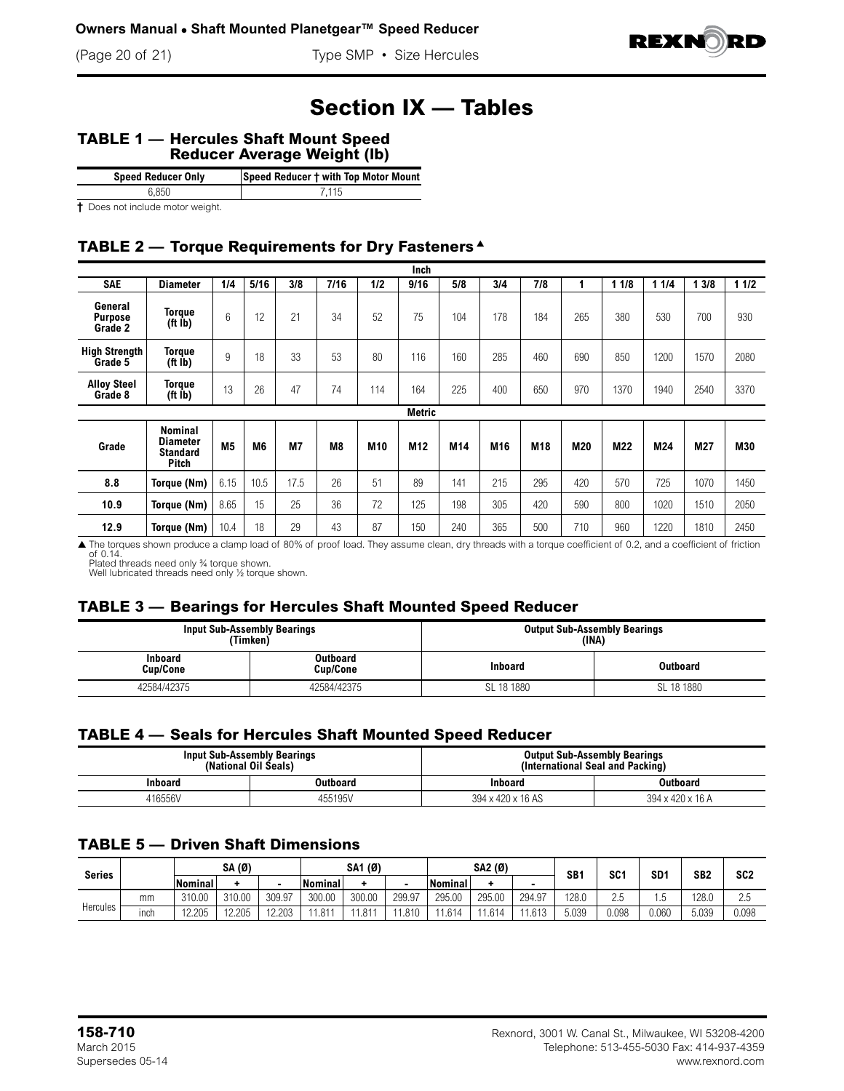(Page 20 of 21) Type SMP • Size Hercules



# **Section IX — Tables**

#### **TABLE 1 — Hercules Shaft Mount Speed Reducer Average Weight (lb)**

| <b>Speed Reducer Only</b> | Speed Reducer † with Top Motor Mount |  |  |  |  |  |
|---------------------------|--------------------------------------|--|--|--|--|--|
| 6.850                     | 7.115                                |  |  |  |  |  |
|                           |                                      |  |  |  |  |  |

**†** Does not include motor weight.

## **TABLE 2 — Torque Requirements for Dry Fasteners** <sup>s</sup>

|                                      |                                                                      |                |                |                |                |     | <b>Inch</b>     |     |     |     |     |      |      |      |      |
|--------------------------------------|----------------------------------------------------------------------|----------------|----------------|----------------|----------------|-----|-----------------|-----|-----|-----|-----|------|------|------|------|
| <b>SAE</b>                           | <b>Diameter</b>                                                      | 1/4            | 5/16           | 3/8            | 7/16           | 1/2 | 9/16            | 5/8 | 3/4 | 7/8 |     | 11/8 | 11/4 | 13/8 | 11/2 |
| General<br><b>Purpose</b><br>Grade 2 | <b>Torque</b><br>(f <sup>t</sup> I <sup>b</sup> )                    | 6              | 12             | 21             | 34             | 52  | 75              | 104 | 178 | 184 | 265 | 380  | 530  | 700  | 930  |
| <b>High Strength</b><br>Grade 5      | Torque<br>( <b>ft lb</b> )                                           | 9              | 18             | 33             | 53             | 80  | 116             | 160 | 285 | 460 | 690 | 850  | 1200 | 1570 | 2080 |
| <b>Alloy Steel</b><br>Grade 8        | <b>Torque</b><br>(f <sup>t</sup>   <b>b</b> )                        | 13             | 26             | 47             | 74             | 114 | 164             | 225 | 400 | 650 | 970 | 1370 | 1940 | 2540 | 3370 |
|                                      |                                                                      |                |                |                |                |     | Metric          |     |     |     |     |      |      |      |      |
| Grade                                | <b>Nominal</b><br><b>Diameter</b><br><b>Standard</b><br><b>Pitch</b> | M <sub>5</sub> | M <sub>6</sub> | M <sub>7</sub> | M <sub>8</sub> | M10 | M <sub>12</sub> | M14 | M16 | M18 | M20 | M22  | M24  | M27  | M30  |
| 8.8                                  | Torque (Nm)                                                          | 6.15           | 10.5           | 17.5           | 26             | 51  | 89              | 141 | 215 | 295 | 420 | 570  | 725  | 1070 | 1450 |
| 10.9                                 | Torque (Nm)                                                          | 8.65           | 15             | 25             | 36             | 72  | 125             | 198 | 305 | 420 | 590 | 800  | 1020 | 1510 | 2050 |
| 12.9                                 | Torque (Nm)                                                          | 10.4           | 18             | 29             | 43             | 87  | 150             | 240 | 365 | 500 | 710 | 960  | 1220 | 1810 | 2450 |

▲ The torques shown produce a clamp load of 80% of proof load. They assume clean, dry threads with a torque coefficient of 0.2, and a coefficient of friction of 0.14. Plated threads need only ¾ torque shown. Well lubricated threads need only ½ torque shown.

### **TABLE 3 — Bearings for Hercules Shaft Mounted Speed Reducer**

|                     | <b>Input Sub-Assembly Bearings</b><br>(Timken) | <b>Output Sub-Assembly Bearings</b><br>(INA) |                 |  |  |  |
|---------------------|------------------------------------------------|----------------------------------------------|-----------------|--|--|--|
| Inboard<br>Cup/Cone | <b>Outboard</b><br>Cup/Cone                    | Inboard                                      | <b>Outboard</b> |  |  |  |
| 42584/42375         | 42584/42375                                    | SL 18 1880                                   | SL 18 1880      |  |  |  |

#### **TABLE 4 — Seals for Hercules Shaft Mounted Speed Reducer**

| <b>Input Sub-Assembly Bearings</b> | (National Oil Seals) | <b>Output Sub-Assembly Bearings</b><br>(International Seal and Packing) |                              |  |  |  |
|------------------------------------|----------------------|-------------------------------------------------------------------------|------------------------------|--|--|--|
| Inboard                            | <b>Outboard</b>      | Inboard                                                                 | Outboard                     |  |  |  |
| 416556V                            | 455195V              | $394 \times 420 \times 16$ AS                                           | $394 \times 420 \times 16$ A |  |  |  |

## **TABLE 5 — Driven Shaft Dimensions**

| <b>Series</b>   |                         | SA (Ø)  |        |        | SA1 (Ø) |        |        | SA2 (Ø) |        |                | SB <sup>1</sup> | SC <sub>1</sub>      | SD <sub>1</sub> | SB <sub>2</sub> | SC <sub>2</sub> |
|-----------------|-------------------------|---------|--------|--------|---------|--------|--------|---------|--------|----------------|-----------------|----------------------|-----------------|-----------------|-----------------|
|                 |                         | Nominal |        | -      | Nominal |        |        | Nominal |        | $\blacksquare$ |                 |                      |                 |                 |                 |
|                 | mm                      | 310.00  | 310.00 | 309.97 | 300.00  | 300.00 | 299.97 | 295.00  | 295.00 | 294.97         | 128.0           | $\sim$ $\sim$<br>Z.J | ے ا             | 128.0           | 2.5             |
| <b>Hercules</b> | $\cdot$ $\cdot$<br>inch | 12.205  | 12.205 | 12.203 | .811    | 11.811 | .810   | 11.614  | i.614  | 1.613          | 5.039           | 0.098                | 0.060           | 5.039           | 0.098           |